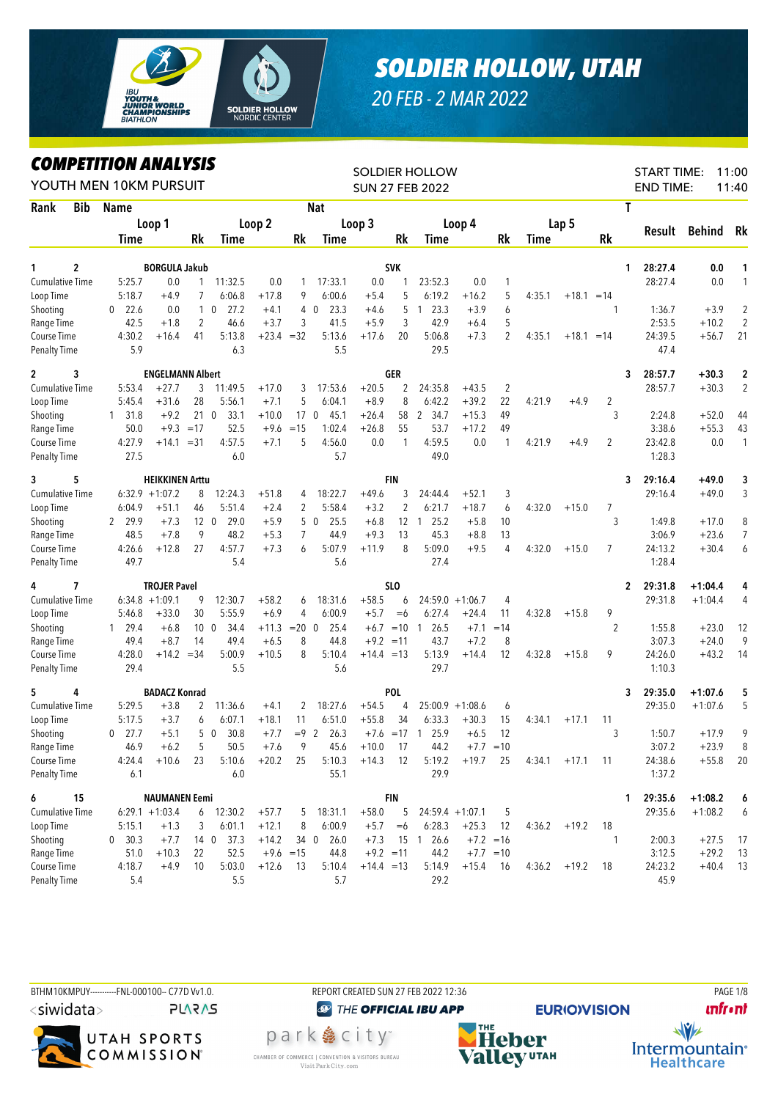

## *SOLDIER HOLLOW, UTAH*

*20 FEB - 2 MAR 2022*

## *COMPETITION ANALYSIS*

| <i><b>COMPEILION ANALYSIS</b></i><br>YOUTH MEN 10KM PURSUIT |                |                         |                 |                        |              |                 |                   |              |                     | SOLDIER HOLLOW<br><b>SUN 27 FEB 2022</b> |                    |                |             |                |                 | <b>START TIME:</b><br><b>END TIME:</b> |               | 11:00<br>11:40          |
|-------------------------------------------------------------|----------------|-------------------------|-----------------|------------------------|--------------|-----------------|-------------------|--------------|---------------------|------------------------------------------|--------------------|----------------|-------------|----------------|-----------------|----------------------------------------|---------------|-------------------------|
| <b>Bib</b><br>Rank                                          | Name           |                         |                 |                        |              |                 | <b>Nat</b>        |              |                     |                                          |                    |                |             |                |                 | Τ                                      |               |                         |
|                                                             |                | Loop 1                  |                 |                        | Loop 2       |                 |                   | Loop 3       |                     |                                          | Loop 4             |                |             | Lap 5          |                 |                                        |               |                         |
|                                                             | Time           |                         | <b>Rk</b>       | Time                   |              | Rk              | Time              |              | Rk                  | <b>Time</b>                              |                    | Rk             | <b>Time</b> |                | Rk              | Result                                 | <b>Behind</b> | Rk                      |
| $\overline{c}$<br>1                                         |                | <b>BORGULA Jakub</b>    |                 |                        |              |                 |                   |              | <b>SVK</b>          |                                          |                    |                |             |                |                 | 28:27.4<br>1.                          | 0.0           | 1                       |
| <b>Cumulative Time</b>                                      | 5:25.7         | 0.0                     | $\mathbf{1}$    | 11:32.5                | 0.0          | 1               | 17:33.1           | 0.0          |                     | 23:52.3                                  | 0.0                | 1              |             |                |                 | 28:27.4                                | 0.0           | 1                       |
| Loop Time                                                   | 5:18.7         | $+4.9$                  | 7               | 6:06.8                 | $+17.8$      | 9               | 6:00.6            | $+5.4$       | 5                   | 6:19.2                                   | $+16.2$            | 5              | 4:35.1      | $+18.1 = 14$   |                 |                                        |               |                         |
| Shooting                                                    | 22.6<br>0      | 0.0                     |                 | $1\quad0$<br>27.2      | $+4.1$       |                 | 23.3<br>$4\quad0$ | $+4.6$       | 5                   | 23.3<br>$\mathbf{1}$                     | $+3.9$             | 6              |             |                | 1               | 1:36.7                                 | $+3.9$        | $\overline{2}$          |
| Range Time                                                  | 42.5           | $+1.8$                  | 2               | 46.6                   | $+3.7$       | 3               | 41.5              | $+5.9$       | 3                   | 42.9                                     | $+6.4$             | 5              |             |                |                 | 2:53.5                                 | $+10.2$       | $\sqrt{2}$              |
| Course Time                                                 | 4:30.2         | $+16.4$                 | 41              | 5:13.8                 | $+23.4 = 32$ |                 | 5:13.6            | $+17.6$      | 20                  | 5:06.8                                   | $+7.3$             | $\overline{2}$ | 4:35.1      | $+18.1 = 14$   |                 | 24:39.5                                | $+56.7$       | 21                      |
| <b>Penalty Time</b>                                         | 5.9            |                         |                 | 6.3                    |              |                 | 5.5               |              |                     | 29.5                                     |                    |                |             |                |                 | 47.4                                   |               |                         |
| 3<br>$\mathbf{2}$                                           |                | <b>ENGELMANN Albert</b> |                 |                        |              |                 |                   |              | <b>GER</b>          |                                          |                    |                |             |                |                 | 3<br>28:57.7                           | $+30.3$       | $\overline{\mathbf{c}}$ |
| <b>Cumulative Time</b>                                      | 5:53.4         | $+27.7$                 | 3               | 11:49.5                | $+17.0$      | 3               | 17:53.6           | $+20.5$      | $\overline{2}$      | 24:35.8                                  | $+43.5$            | $\overline{2}$ |             |                |                 | 28:57.7                                | $+30.3$       | $\overline{2}$          |
| Loop Time                                                   | 5:45.4         | $+31.6$                 | 28              | 5:56.1                 | $+7.1$       | 5               | 6:04.1            | $+8.9$       | 8                   | 6:42.2                                   | $+39.2$            | 22             | 4:21.9      | $+4.9$         | 2               |                                        |               |                         |
| Shooting                                                    | 1, 31.8        | $+9.2$                  | 21 0            | 33.1                   | $+10.0$      | 17 <sub>0</sub> | 45.1              | $+26.4$      | 58                  | 2 34.7                                   | $+15.3$            | 49             |             |                | 3               | 2:24.8                                 | $+52.0$       | 44                      |
| Range Time                                                  | 50.0           |                         | $+9.3 = 17$     | 52.5                   | $+9.6$       | $=15$           | 1:02.4            | $+26.8$      | 55                  | 53.7                                     | $+17.2$            | 49             |             |                |                 | 3:38.6                                 | $+55.3$       | 43                      |
| Course Time                                                 | 4:27.9         | $+14.1 = 31$            |                 | 4:57.5                 | $+7.1$       | 5               | 4:56.0            | 0.0          | 1                   | 4:59.5                                   | 0.0                | 1              | 4:21.9      | $+4.9$         | $\overline{2}$  | 23:42.8                                | 0.0           | $\mathbf{1}$            |
| <b>Penalty Time</b>                                         | 27.5           |                         |                 | 6.0                    |              |                 | 5.7               |              |                     | 49.0                                     |                    |                |             |                |                 | 1:28.3                                 |               |                         |
| 5<br>3                                                      |                | <b>HEIKKINEN Arttu</b>  |                 |                        |              |                 |                   |              | <b>FIN</b>          |                                          |                    |                |             |                |                 | 29:16.4<br>3                           | $+49.0$       | 3                       |
| <b>Cumulative Time</b>                                      |                | $6:32.9 +1:07.2$        | 8               | 12:24.3                | $+51.8$      | 4               | 18:22.7           | $+49.6$      | 3                   | 24:44.4                                  | $+52.1$            | 3              |             |                |                 | 29:16.4                                | $+49.0$       | 3                       |
| Loop Time                                                   | 6:04.9         | $+51.1$                 | 46              | 5:51.4                 | $+2.4$       | 2               | 5:58.4            | $+3.2$       | $\overline{2}$      | 6:21.7                                   | $+18.7$            | 6              | 4:32.0      | $+15.0$        | 7               |                                        |               |                         |
| Shooting                                                    | 29.9<br>2      | $+7.3$                  | 12 <sub>0</sub> | 29.0                   | $+5.9$       |                 | 5 0<br>25.5       | $+6.8$       | 12                  | 25.2<br>$\overline{1}$                   | $+5.8$             | 10             |             |                | 3               | 1:49.8                                 | $+17.0$       | 8                       |
| Range Time                                                  | 48.5           | $+7.8$                  | 9               | 48.2                   | $+5.3$       | 7               | 44.9              | $+9.3$       | 13                  | 45.3                                     | $+8.8$             | 13             |             |                |                 | 3:06.9                                 | $+23.6$       | 7                       |
| Course Time                                                 | 4:26.6         | $+12.8$                 | 27              | 4:57.7                 | $+7.3$       | 6               | 5:07.9            | $+11.9$      | 8                   | 5:09.0                                   | $+9.5$             | 4              | 4:32.0      | $+15.0$        | 7               | 24:13.2                                | $+30.4$       | 6                       |
| <b>Penalty Time</b>                                         | 49.7           |                         |                 | 5.4                    |              |                 | 5.6               |              |                     | 27.4                                     |                    |                |             |                |                 | 1:28.4                                 |               |                         |
| 7<br>4                                                      |                | <b>TROJER Pavel</b>     |                 |                        |              |                 |                   |              | SLO                 |                                          |                    |                |             |                |                 | 29:31.8<br>2                           | $+1:04.4$     | 4                       |
| <b>Cumulative Time</b>                                      |                | $6:34.8 +1:09.1$        | 9               | 12:30.7                | $+58.2$      | 6               | 18:31.6           | $+58.5$      | 6                   |                                          | $24:59.0 +1:06.7$  | 4              |             |                |                 | 29:31.8                                | $+1:04.4$     | 4                       |
| Loop Time                                                   | 5:46.8         | $+33.0$                 | 30              | 5:55.9                 | $+6.9$       | 4               | 6:00.9            | $+5.7$       | $=6$                | 6:27.4                                   | $+24.4$            | 11             | 4:32.8      | $+15.8$        | 9               |                                        |               |                         |
| Shooting                                                    | $1 \quad 29.4$ | $+6.8$                  | 10 <sub>0</sub> | 34.4                   | $+11.3$      | $= 20 \ 0$      | 25.4              |              | $+6.7 = 10 \quad 1$ | 26.5                                     | $+7.1$             | $=14$          |             |                | $\overline{2}$  | 1:55.8                                 | $+23.0$       | 12                      |
| Range Time                                                  | 49.4           | $+8.7$                  | 14              | 49.4                   | $+6.5$       | 8               | 44.8              | $+9.2 = 11$  |                     | 43.7                                     | $+7.2$             | 8              |             |                |                 | 3:07.3                                 | $+24.0$       | 9                       |
| Course Time                                                 | 4:28.0         | $+14.2 = 34$            |                 | 5:00.9                 | $+10.5$      | 8               | 5:10.4            | $+14.4 = 13$ |                     | 5:13.9                                   | $+14.4$            | 12             | 4:32.8      | $+15.8$        | 9               | 24:26.0                                | $+43.2$       | 14                      |
| <b>Penalty Time</b>                                         | 29.4           |                         |                 | 5.5                    |              |                 | 5.6               |              |                     | 29.7                                     |                    |                |             |                |                 | 1:10.3                                 |               |                         |
| 5<br>4                                                      |                | <b>BADACZ Konrad</b>    |                 |                        |              |                 |                   |              | POL                 |                                          |                    |                |             |                |                 | 29:35.0<br>3                           | $+1:07.6$     | 5                       |
| Cumulative Time                                             | 5:29.5         | $+3.8$                  | 2               | 11:36.6                | $+4.1$       | 2               | 18:27.6           | $+54.5$      | 4                   |                                          | $25:00.9 +1:08.6$  | 6              |             |                |                 | 29:35.0                                | $+1:07.6$     | 5                       |
| Loop Time                                                   | 5:17.5         | $+3.7$                  | 6               | 6:07.1                 | $+18.1$      | 11              | 6:51.0            | $+55.8$      | 34                  | 6:33.3                                   | $+30.3$            | 15             | 4:34.1      | $+17.1$        | 11              |                                        |               |                         |
| Shooting                                                    | 27.7<br>0      | $+5.1$                  | 5               | 30.8<br>$\overline{0}$ | $+7.7$       | $= 9$ 2         | 26.3              | $+7.6 = 17$  |                     | $\overline{1}$<br>25.9                   | $+6.5$             | 12             |             |                | 3               | 1:50.7                                 | $+17.9$       | 9                       |
| Range Time                                                  | 46.9           | $+6.2$                  | 5 <sup>5</sup>  | 50.5                   | $+7.6$       | 9               | 45.6              | $+10.0$      | 17                  | 44.2                                     | $+7.7$             | $=10$          |             |                |                 | 3:07.2                                 | $+23.9$       | 8                       |
| Course Time                                                 | 4:24.4         | $+10.6$                 | 23              | 5:10.6                 | $+20.2$      | 25              | 5:10.3            | $+14.3$      | - 12                |                                          | $5:19.2 + 19.7$ 25 |                | 4:34.1      | $+17.1$        | $\overline{11}$ | 24:38.6                                | $+55.8$       | 20                      |
| <b>Penalty Time</b>                                         | 6.1            |                         |                 | 6.0                    |              |                 | 55.1              |              |                     | 29.9                                     |                    |                |             |                |                 | 1:37.2                                 |               |                         |
| 6<br>15                                                     |                | <b>NAUMANEN Eemi</b>    |                 |                        |              |                 |                   |              | <b>FIN</b>          |                                          |                    |                |             |                |                 | 29:35.6<br>1.                          | $+1:08.2$     | 6                       |
| <b>Cumulative Time</b>                                      |                | $6:29.1 +1:03.4$        |                 | $6$ 12:30.2            | $+57.7$      | 5               | 18:31.1           | $+58.0$      | 5                   |                                          | $24:59.4 +1:07.1$  | -5             |             |                |                 | 29:35.6                                | $+1:08.2$     | 6                       |
| Loop Time                                                   | 5:15.1         | $+1.3$                  | 3               | 6:01.1                 | $+12.1$      | 8               | 6:00.9            | $+5.7$       | $=6$                | 6:28.3                                   | $+25.3$            | - 12           |             | $4:36.2 +19.2$ | 18              |                                        |               |                         |
| Shooting                                                    | 0 30.3         | $+7.7$                  |                 | 14 0 37.3              | $+14.2$      |                 | 26.0<br>34 0      | $+7.3$       |                     | 15 1 26.6                                | $+7.2 = 16$        |                |             |                | 1               | 2:00.3                                 | $+27.5$       | - 17                    |
| Range Time                                                  | 51.0           | $+10.3$                 | 22              | 52.5                   |              | $+9.6 = 15$     | 44.8              | $+9.2 = 11$  |                     | 44.2                                     | $+7.7 = 10$        |                |             |                |                 | 3:12.5                                 | $+29.2$       | 13                      |
| Course Time                                                 | 4:18.7         | $+4.9$                  | 10              | 5:03.0                 | $+12.6$      | - 13            | 5:10.4            | $+14.4 = 13$ |                     | 5:14.9                                   | $+15.4$ 16         |                |             | $4:36.2 +19.2$ | 18              | 24:23.2                                | $+40.4$       | 13                      |
| <b>Penalty Time</b>                                         | 5.4            |                         |                 | 5.5                    |              |                 | 5.7               |              |                     | 29.2                                     |                    |                |             |                |                 | 45.9                                   |               |                         |

BTHM10KMPUY----------FNL-000100-- C77D W1.0. REPORT CREATED SUN 27 FEB 2022 12:36 PAGE 1/8 <siwidata> **PLARAS** 



**@ THE OFFICIAL IBU APP** 

park 急 city<sup>®</sup>

CHAMBER OF COMMERCE | CONVENTION & VISITORS BUREAU

Visit Park City.com

**EURIO)VISION** 



Heber **Valley** UTAH

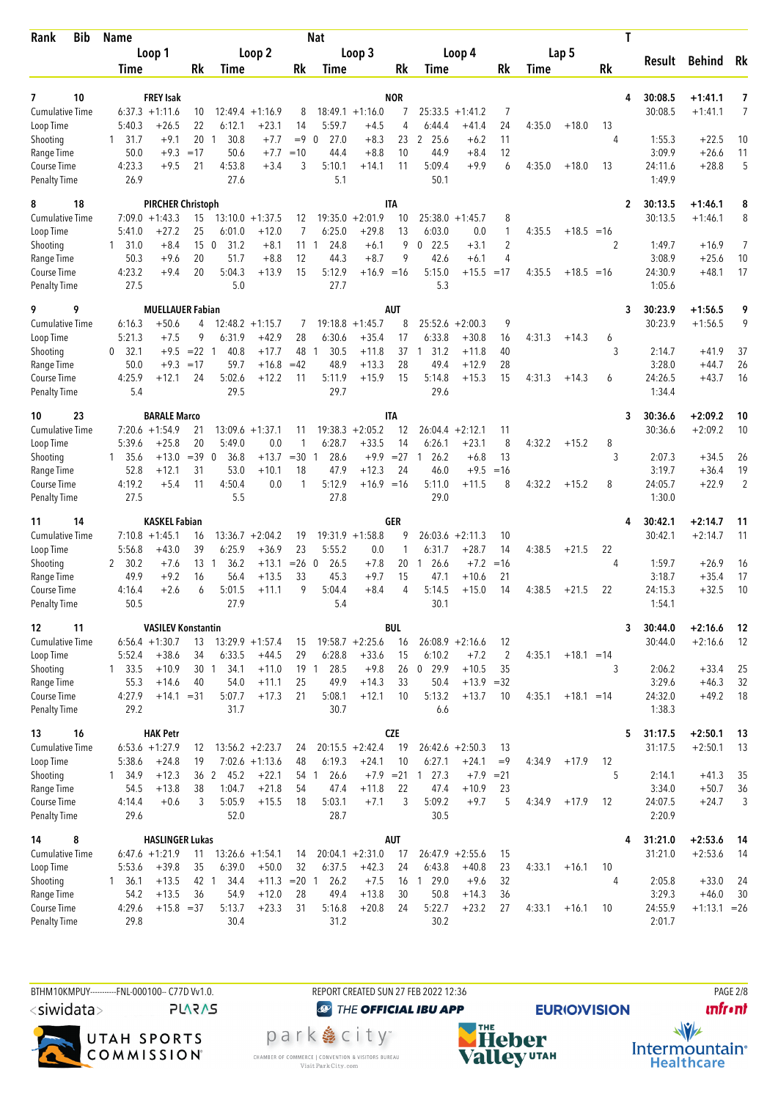| Bib<br>Rank                         | <b>Name</b>                    |                                            |                                          |                    | <b>Nat</b>                  |                               |                     |                                  |                        |                     |        |              | T            |                  |                    |                |
|-------------------------------------|--------------------------------|--------------------------------------------|------------------------------------------|--------------------|-----------------------------|-------------------------------|---------------------|----------------------------------|------------------------|---------------------|--------|--------------|--------------|------------------|--------------------|----------------|
|                                     | Loop 1                         |                                            | Loop 2                                   |                    |                             | Loop 3                        |                     |                                  | Loop 4                 |                     |        | Lap 5        |              | Result           | <b>Behind</b>      | Rk             |
|                                     | Time                           | Rk                                         | <b>Time</b>                              | Rk                 | Time                        |                               | Rk                  | Time                             |                        | Rk                  | Time   |              | Rk           |                  |                    |                |
| 10<br>7                             | <b>FREY Isak</b>               |                                            |                                          |                    |                             |                               | <b>NOR</b>          |                                  |                        |                     |        |              | 4            | 30:08.5          | $+1:41.1$          | 7              |
| Cumulative Time                     | $6:37.3 +1:11.6$               | 10                                         | $12:49.4 +1:16.9$                        | 8                  |                             | $18:49.1 + 1:16.0$            | 7                   | 25:33.5                          | $+1:41.2$              | 7                   |        |              |              | 30:08.5          | $+1:41.1$          | $\overline{7}$ |
| Loop Time                           | 5:40.3<br>31.7                 | 22<br>$+26.5$<br>201<br>$+9.1$             | 6:12.1<br>$+23.1$<br>30.8                | 14<br>$+7.7$       | 5:59.7<br>27.0<br>$= 9 \ 0$ | $+4.5$<br>$+8.3$              | 4<br>23             | 6:44.4<br>2 25.6                 | $+41.4$<br>$+6.2$      | 24<br>11            | 4:35.0 | $+18.0$      | 13<br>4      | 1:55.3           | $+22.5$            | 10             |
| Shooting<br>Range Time              | $\mathbf{1}$<br>50.0           | $+9.3$<br>$=17$                            | 50.6                                     | $+7.7$<br>$=10$    | 44.4                        | $+8.8$                        | 10                  | 44.9                             | $+8.4$                 | 12                  |        |              |              | 3:09.9           | $+26.6$            | 11             |
| Course Time                         | 4:23.3                         | $+9.5$<br>21                               | 4:53.8                                   | $+3.4$<br>3        | 5:10.1                      | $+14.1$                       | 11                  | 5:09.4                           | $+9.9$                 | 6                   | 4:35.0 | $+18.0$      | 13           | 24:11.6          | $+28.8$            | 5              |
| <b>Penalty Time</b>                 | 26.9                           |                                            | 27.6                                     |                    | 5.1                         |                               |                     | 50.1                             |                        |                     |        |              |              | 1:49.9           |                    |                |
| 18<br>8                             |                                | <b>PIRCHER Christoph</b>                   |                                          |                    |                             |                               | <b>ITA</b>          |                                  |                        |                     |        |              | $\mathbf{2}$ | 30:13.5          | $+1:46.1$          | 8              |
| <b>Cumulative Time</b>              | $7:09.0 +1:43.3$               | 15                                         | $13:10.0 + 1:37.5$                       | 12                 | 19:35.0                     | $+2:01.9$                     | 10                  | $25:38.0 + 1:45.7$               |                        | 8                   |        |              |              | 30:13.5          | $+1:46.1$          | 8              |
| Loop Time                           | 5:41.0                         | 25<br>$+27.2$<br>$+8.4$<br>15 <sub>0</sub> | 6:01.0<br>$+12.0$<br>31.2<br>$+8.1$      | 7                  | 6:25.0<br>24.8<br>-1        | $+29.8$                       | 13<br>9             | 6:03.0<br>22.5<br>$\mathbf 0$    | 0.0<br>$+3.1$          | 1<br>$\overline{2}$ | 4:35.5 | $+18.5$      | $=16$<br>2   | 1:49.7           | $+16.9$            | 7              |
| Shooting<br>Range Time              | 31.0<br>$\mathbf{1}$<br>50.3   | 20<br>$+9.6$                               | 51.7                                     | 11<br>$+8.8$<br>12 | 44.3                        | $+6.1$<br>$+8.7$              | 9                   | 42.6                             | $+6.1$                 | 4                   |        |              |              | 3:08.9           | $+25.6$            | 10             |
| Course Time                         | 4:23.2                         | 20<br>$+9.4$                               | 5:04.3<br>$+13.9$                        | 15                 | 5:12.9                      | $+16.9 = 16$                  |                     | 5:15.0                           | $+15.5$                | $=17$               | 4:35.5 | $+18.5 = 16$ |              | 24:30.9          | $+48.1$            | 17             |
| <b>Penalty Time</b>                 | 27.5                           |                                            | 5.0                                      |                    | 27.7                        |                               |                     | 5.3                              |                        |                     |        |              |              | 1:05.6           |                    |                |
| 9<br>9                              |                                | <b>MUELLAUER Fabian</b>                    |                                          |                    |                             |                               | AUT                 |                                  |                        |                     |        |              | 3            | 30:23.9          | $+1:56.5$          | 9              |
| <b>Cumulative Time</b>              | 6:16.3                         | $+50.6$<br>4                               | $12:48.2 + 1:15.7$                       | 7                  | 19:18.8                     | $+1:45.7$                     | 8                   | 25:52.6                          | $+2:00.3$              | 9                   |        |              |              | 30:23.9          | $+1:56.5$          | 9              |
| Loop Time                           | 5:21.3                         | 9<br>$+7.5$<br>$+9.5 = 22 \quad 1$         | 6:31.9<br>$+42.9$                        | 28<br>48           | 6:30.6                      | $+35.4$                       | 17<br>37            | 6:33.8                           | $+30.8$                | 16                  | 4:31.3 | $+14.3$      | 6            |                  |                    |                |
| Shooting<br>Range Time              | 32.1<br>0<br>50.0              | $+9.3$<br>$=17$                            | 40.8<br>$+17.7$<br>59.7<br>$+16.8$       | $=42$              | 30.5<br>-1<br>48.9          | $+11.8$<br>$+13.3$            | 28                  | 31.2<br>$\overline{1}$<br>49.4   | $+11.8$<br>$+12.9$     | 40<br>28            |        |              | 3            | 2:14.7<br>3:28.0 | $+41.9$<br>$+44.7$ | 37<br>26       |
| Course Time                         | 4:25.9                         | $+12.1$<br>24                              | 5:02.6<br>$+12.2$                        | 11                 | 5:11.9                      | $+15.9$                       | 15                  | 5:14.8                           | $+15.3$                | 15                  | 4:31.3 | $+14.3$      | 6            | 24:26.5          | $+43.7$            | 16             |
| <b>Penalty Time</b>                 | 5.4                            |                                            | 29.5                                     |                    | 29.7                        |                               |                     | 29.6                             |                        |                     |        |              |              | 1:34.4           |                    |                |
| 23<br>10                            |                                | <b>BARALE Marco</b>                        |                                          |                    |                             |                               | <b>ITA</b>          |                                  |                        |                     |        |              | 3            | 30:36.6          | $+2:09.2$          | 10             |
| <b>Cumulative Time</b>              | $7:20.6 + 1:54.9$              | 21                                         | $13:09.6 + 1:37.1$                       | 11                 |                             | $19:38.3 + 2:05.2$            | 12                  | $26:04.4 + 2:12.1$               |                        | 11                  |        |              |              | 30:36.6          | $+2:09.2$          | 10             |
| Loop Time                           | 5:39.6<br>1, 35.6              | 20<br>$+25.8$<br>$=39$ 0<br>$+13.0$        | 5:49.0<br>$+13.7$<br>36.8                | 0.0<br>1<br>$=30$  | 6:28.7<br>28.6<br>-1        | $+33.5$<br>+9.9               | 14<br>$=27$         | 6:26.1<br>26.2<br>$\overline{1}$ | $+23.1$<br>$+6.8$      | 8<br>13             | 4:32.2 | $+15.2$      | 8<br>3       | 2:07.3           | $+34.5$            | 26             |
| Shooting<br>Range Time              | 52.8                           | $+12.1$<br>31                              | 53.0<br>$+10.1$                          | 18                 | 47.9                        | $+12.3$                       | 24                  | 46.0                             | $+9.5$                 | $=16$               |        |              |              | 3:19.7           | $+36.4$            | 19             |
| Course Time                         | 4:19.2                         | $+5.4$<br>11                               | 4:50.4                                   | 0.0<br>1           | 5:12.9                      | $+16.9 = 16$                  |                     | 5:11.0                           | $+11.5$                | 8                   | 4:32.2 | $+15.2$      | 8            | 24:05.7          | $+22.9$            | $\overline{2}$ |
| <b>Penalty Time</b>                 | 27.5                           |                                            | 5.5                                      |                    | 27.8                        |                               |                     | 29.0                             |                        |                     |        |              |              | 1:30.0           |                    |                |
| 14<br>11                            |                                | <b>KASKEL Fabian</b>                       |                                          |                    |                             |                               | GER                 |                                  |                        |                     |        |              | 4            | 30:42.1          | $+2:14.7$          | 11             |
| <b>Cumulative Time</b>              | $7:10.8 + 1:45.1$              | 16                                         | $13:36.7 + 2:04.2$                       | 19                 |                             | $19:31.9 +1:58.8$             | 9                   | $26:03.6 + 2:11.3$               |                        | 10                  |        |              |              | 30:42.1          | $+2:14.7$          | 11             |
| Loop Time<br>Shooting               | 5:56.8<br>30.2<br>$\mathbf{2}$ | 39<br>$+43.0$<br>$13-1$<br>$+7.6$          | 6:25.9<br>$+36.9$<br>36.2<br>$+13.1$     | 23<br>$= 26 \ 0$   | 5:55.2<br>26.5              | 0.0<br>$+7.8$                 | 1<br>20             | 6:31.7<br>26.6<br>1              | $+28.7$<br>$+7.2$      | 14<br>$=16$         | 4:38.5 | $+21.5$      | 22<br>4      | 1:59.7           | $+26.9$            | 16             |
| Range Time                          | 49.9                           | $+9.2$<br>16                               | 56.4<br>$+13.5$                          | 33                 | 45.3                        | $+9.7$                        | 15                  | 47.1                             | $+10.6$                | 21                  |        |              |              | 3:18.7           | $+35.4$            | 17             |
| Course Time                         | 4:16.4                         | $+2.6$<br>6                                | 5:01.5<br>$+11.1$                        | 9                  | 5:04.4                      | $+8.4$                        | 4                   | 5:14.5                           | $+15.0$                | 14                  | 4:38.5 | $+21.5$      | 22           | 24:15.3          | $+32.5$            | 10             |
| <b>Penalty Time</b>                 | 50.5                           |                                            | 27.9                                     |                    | 5.4                         |                               |                     | 30.1                             |                        |                     |        |              |              | 1:54.1           |                    |                |
| 11<br>12                            |                                | <b>VASILEV Konstantin</b>                  |                                          |                    |                             |                               | <b>BUL</b>          |                                  |                        |                     |        |              | 3            | 30:44.0          | $+2:16.6$          | 12             |
| Cumulative Time                     | $6:56.4 +1:30.7$               | 13                                         | $13:29.9 + 1:57.4$                       | 15                 |                             | $19:58.7 + 2:25.6$            | 16                  | $26:08.9 + 2:16.6$               |                        | 12                  |        |              |              | 30:44.0          | $+2:16.6$          | 12             |
| Loop Time<br>Shooting               | 5:52.4<br>$1 \quad 33.5$       | $+38.6$<br>34<br>$+10.9$<br>30 1           | 6:33.5<br>$+44.5$<br>34.1<br>$+11.0$     | 29                 | 6:28.8<br>19 1<br>28.5      | $+33.6$<br>$+9.8$             | 15                  | 6:10.2<br>26 0 29.9              | $+7.2$<br>$+10.5$      | 2<br>35             | 4:35.1 | $+18.1 = 14$ | 3            | 2:06.2           | $+33.4$            | 25             |
| Range Time                          | 55.3                           | $+14.6$<br>40                              | 54.0<br>$+11.1$                          | 25                 | 49.9                        | $+14.3$                       | 33                  | 50.4                             | $+13.9 = 32$           |                     |        |              |              | 3:29.6           | $+46.3$            | 32             |
| Course Time                         | 4:27.9                         | $+14.1 = 31$                               | 5:07.7<br>$+17.3$                        | 21                 | 5:08.1                      | $+12.1$                       | 10                  | 5:13.2                           | $+13.7$                | 10                  | 4:35.1 | $+18.1 = 14$ |              | 24:32.0          | $+49.2$            | 18             |
| <b>Penalty Time</b>                 | 29.2                           |                                            | 31.7                                     |                    | 30.7                        |                               |                     | 6.6                              |                        |                     |        |              |              | 1:38.3           |                    |                |
| 16<br>13                            | <b>HAK Petr</b>                |                                            |                                          |                    |                             |                               | <b>CZE</b>          |                                  |                        |                     |        |              | 5            | 31:17.5          | $+2:50.1$          | 13             |
| Cumulative Time                     | $6:53.6 +1:27.9$               | 12                                         | $13:56.2 + 2:23.7$                       | 24                 |                             | $20:15.5 + 2:42.4$            | 19                  | $26:42.6 + 2:50.3$               |                        | 13                  |        |              |              | 31:17.5          | $+2:50.1$          | 13             |
| Loop Time<br>Shooting               | 5:38.6<br>34.9<br>$\mathbf{1}$ | $+24.8$<br>19<br>$+12.3$                   | $7:02.6 +1:13.6$<br>36 2 45.2<br>$+22.1$ | 48                 | 6:19.3<br>54 1<br>26.6      | $+24.1$                       | 10<br>$+7.9$ = 21 1 | 6:27.1<br>27.3                   | $+24.1$<br>$+7.9 = 21$ | $=9$                | 4:34.9 | $+17.9$      | 12<br>5      | 2:14.1           | $+41.3$            | 35             |
| Range Time                          | 54.5                           | 38<br>$+13.8$                              | 1:04.7<br>$+21.8$                        | 54                 | 47.4                        | $+11.8$                       | 22                  | 47.4                             | $+10.9$                | 23                  |        |              |              | 3:34.0           | $+50.7$            | 36             |
| Course Time                         | 4:14.4                         | $+0.6$<br>3                                | 5:05.9<br>$+15.5$                        | 18                 | 5:03.1                      | $+7.1$                        | 3                   | 5:09.2                           | $+9.7$                 | 5                   | 4:34.9 | $+17.9$      | 12           | 24:07.5          | $+24.7$            | 3              |
| <b>Penalty Time</b>                 | 29.6                           |                                            | 52.0                                     |                    | 28.7                        |                               |                     | 30.5                             |                        |                     |        |              |              | 2:20.9           |                    |                |
| 8<br>14                             |                                | <b>HASLINGER Lukas</b>                     |                                          |                    |                             |                               | <b>AUT</b>          |                                  |                        |                     |        |              | 4            | 31:21.0          | $+2:53.6$          | - 14           |
| <b>Cumulative Time</b><br>Loop Time | $6:47.6 +1:21.9$<br>5:53.6     | 11<br>$+39.8$<br>35                        | $13:26.6 + 1:54.1$<br>6:39.0<br>$+50.0$  | 14<br>32           | 6:37.5                      | $20:04.1 + 2:31.0$<br>$+42.3$ | 17<br>24            | $26:47.9 +2:55.6$<br>6:43.8      | $+40.8$                | 15<br>23            | 4:33.1 | $+16.1$      | 10           | 31:21.0          | $+2:53.6$          | -14            |
| Shooting                            | $1 \quad 36.1$                 | $+13.5$<br>42 1                            | 34.4<br>$+11.3$                          | $= 20$ 1           | 26.2                        | $+7.5$                        |                     | 16 1 29.0                        | $+9.6$                 | 32                  |        |              | 4            | 2:05.8           | $+33.0$            | 24             |
| Range Time                          | 54.2                           | $+13.5$<br>36                              | 54.9<br>$+12.0$                          | 28                 | 49.4                        | $+13.8$                       | 30                  | 50.8                             | $+14.3$                | 36                  |        |              |              | 3:29.3           | $+46.0$            | 30             |
| <b>Course Time</b>                  | 4:29.6                         | $+15.8 = 37$                               | 5:13.7<br>$+23.3$                        | 31                 | 5:16.8                      | $+20.8$                       | 24                  | 5:22.7                           | $+23.2$                | 27                  | 4:33.1 | $+16.1$      | 10           | 24:55.9          | $+1:13.1 = 26$     |                |
| <b>Penalty Time</b>                 | 29.8                           |                                            | 30.4                                     |                    | 31.2                        |                               |                     | 30.2                             |                        |                     |        |              |              | 2:01.7           |                    |                |

BTHM10KMPUY----------FNL-000100-- C77D W1.0. REPORT CREATED SUN 27 FEB 2022 12:36 PAGE 2002 <siwidata>

**PLARAS** 

UTAH SPORTS<br>COMMISSION®

**@** THE OFFICIAL IBU APP

park e city<sup>®</sup> CHAMBER OF COMMERCE | CONVENTION & VISITORS BUREAU<br>Visit Park City.com



**EURIO)VISION** 

**unfront** 

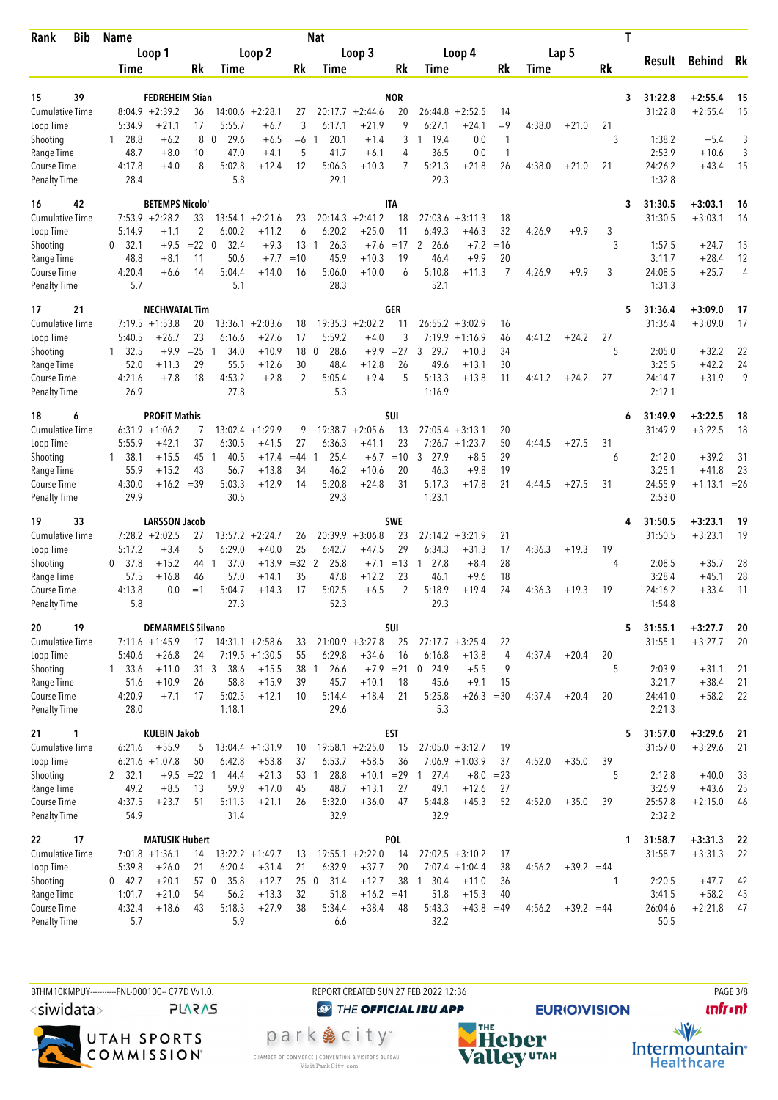| <b>Bib</b><br>Rank                 | <b>Name</b>                                    |                              |                                      |             | Nat                    |                        |                  |                            |                   |                      |        |              | Τ  |                    |                           |          |
|------------------------------------|------------------------------------------------|------------------------------|--------------------------------------|-------------|------------------------|------------------------|------------------|----------------------------|-------------------|----------------------|--------|--------------|----|--------------------|---------------------------|----------|
|                                    | Loop 1                                         |                              | Loop 2                               |             |                        | Loop 3                 |                  |                            | Loop 4            |                      |        | Lap 5        |    | Result             | Behind                    | Rk       |
|                                    | Time                                           | Rk                           | Time                                 | Rk          | Time                   |                        | Rk               | Time                       |                   | Rk                   | Time   |              | Rk |                    |                           |          |
|                                    |                                                |                              |                                      |             |                        |                        |                  |                            |                   |                      |        |              |    |                    |                           |          |
| 39<br>15<br><b>Cumulative Time</b> | $8:04.9 +2:39.2$                               | <b>FEDREHEIM Stian</b>       | $14:00.6 + 2:28.1$                   |             |                        | $20:17.7 + 2:44.6$     | <b>NOR</b><br>20 |                            | $+2:52.5$         | 14                   |        |              | 3  | 31:22.8<br>31:22.8 | $+2:55.4$<br>$+2:55.4$    | 15<br>15 |
| Loop Time                          | 5:34.9<br>$+21.1$                              | 36<br>17                     | 5:55.7<br>$+6.7$                     | 27<br>3     | 6:17.1                 | $+21.9$                | 9                | 26:44.8<br>6:27.1          | $+24.1$           | $=9$                 | 4:38.0 | $+21.0$      | 21 |                    |                           |          |
| Shooting                           | 1 28.8                                         | 8<br>$+6.2$<br>0             | 29.6<br>$+6.5$                       | $=6$        | 20.1                   | $+1.4$                 | 3                | 1 19.4                     | 0.0               | $\mathbf{1}$         |        |              | 3  | 1:38.2             | $+5.4$                    | 3        |
| Range Time                         | 48.7                                           | $+8.0$<br>10                 | 47.0<br>$+4.1$                       | 5           | 41.7                   | $+6.1$                 | 4                | 36.5                       | 0.0               | $\mathbf{1}$         |        |              |    | 2:53.9             | $+10.6$                   | 3        |
| Course Time                        | 4:17.8                                         | 8<br>$+4.0$                  | 5:02.8<br>$+12.4$                    | 12          | 5:06.3                 | $+10.3$                | 7                | 5:21.3                     | $+21.8$           | 26                   | 4:38.0 | $+21.0$      | 21 | 24:26.2            | $+43.4$                   | 15       |
| <b>Penalty Time</b>                | 28.4                                           |                              | 5.8                                  |             | 29.1                   |                        |                  | 29.3                       |                   |                      |        |              |    | 1:32.8             |                           |          |
| 42<br>16                           |                                                | <b>BETEMPS Nicolo'</b>       |                                      |             |                        |                        | <b>ITA</b>       |                            |                   |                      |        |              | 3  | 31:30.5            | $+3:03.1$                 | 16       |
| Cumulative Time                    | $7:53.9 +2:28.2$                               | 33                           | $13:54.1 + 2:21.6$                   | 23          |                        | $20:14.3 + 2:41.2$     | 18               | 27:03.6                    | $+3:11.3$         | 18                   |        |              |    | 31:30.5            | $+3:03.1$                 | 16       |
| Loop Time                          | 5:14.9                                         | 2<br>$+1.1$                  | 6:00.2<br>$+11.2$                    | 6           | 6:20.2                 | $+25.0$                | 11               | 6:49.3                     | $+46.3$           | 32                   | 4:26.9 | $+9.9$       | 3  |                    |                           |          |
| Shooting                           | 32.1<br>0                                      | $= 22 \ 0$<br>$+9.5$         | 32.4<br>$+9.3$                       | 13          | 26.3<br>$\overline{1}$ | $+7.6$                 | $=17$            | 2<br>26.6                  | $+7.2$            | $=16$                |        |              | 3  | 1:57.5             | $+24.7$                   | 15       |
| Range Time<br>Course Time          | 48.8<br>4:20.4                                 | $+8.1$<br>11<br>14<br>$+6.6$ | 50.6<br>$+7.7$<br>5:04.4<br>$+14.0$  | $=10$<br>16 | 45.9<br>5:06.0         | $+10.3$<br>$+10.0$     | 19<br>6          | 46.4<br>5:10.8             | $+9.9$<br>$+11.3$ | 20<br>$\overline{7}$ | 4:26.9 | $+9.9$       | 3  | 3:11.7<br>24:08.5  | $+28.4$<br>$+25.7$        | 12<br>4  |
| <b>Penalty Time</b>                | 5.7                                            |                              | 5.1                                  |             | 28.3                   |                        |                  | 52.1                       |                   |                      |        |              |    | 1:31.3             |                           |          |
|                                    |                                                |                              |                                      |             |                        |                        |                  |                            |                   |                      |        |              |    |                    |                           |          |
| 21<br>17<br><b>Cumulative Time</b> | $7:19.5 + 1:53.8$                              | <b>NECHWATAL Tim</b><br>20   | $+2:03.6$<br>13:36.1                 | 18          |                        | $19:35.3 + 2:02.2$     | GER<br>11        | $26:55.2 + 3:02.9$         |                   | 16                   |        |              | 5  | 31:36.4<br>31:36.4 | $+3:09.0$<br>$+3:09.0$    | 17<br>17 |
| Loop Time                          | $+26.7$<br>5:40.5                              | 23                           | $+27.6$<br>6:16.6                    | 17          | 5:59.2                 | $+4.0$                 | 3                | 7:19.9                     | $+1:16.9$         | 46                   | 4:41.2 | $+24.2$      | 27 |                    |                           |          |
| Shooting                           | $1 \quad 32.5$                                 | $+9.9$<br>$= 25$<br>-1       | 34.0<br>$+10.9$                      | 18 0        | 28.6                   | $+9.9$                 | $=27$            | 3<br>29.7                  | $+10.3$           | 34                   |        |              | 5  | 2:05.0             | $+32.2$                   | 22       |
| Range Time                         | 52.0<br>$+11.3$                                | 29                           | 55.5<br>$+12.6$                      | 30          | 48.4                   | $+12.8$                | 26               | 49.6                       | $+13.1$           | 30                   |        |              |    | 3:25.5             | $+42.2$                   | 24       |
| Course Time                        | 4:21.6                                         | 18<br>$+7.8$                 | 4:53.2<br>$+2.8$                     | 2           | 5:05.4                 | $+9.4$                 | 5                | 5:13.3                     | $+13.8$           | 11                   | 4:41.2 | $+24.2$      | 27 | 24:14.7            | $+31.9$                   | 9        |
| <b>Penalty Time</b>                | 26.9                                           |                              | 27.8                                 |             | 5.3                    |                        |                  | 1:16.9                     |                   |                      |        |              |    | 2:17.1             |                           |          |
| 18<br>6                            |                                                | <b>PROFIT Mathis</b>         |                                      |             |                        |                        | SUI              |                            |                   |                      |        |              | 6  | 31:49.9            | $+3:22.5$                 | 18       |
| <b>Cumulative Time</b>             | $6:31.9 +1:06.2$                               | 7                            | $13:02.4 +1:29.9$                    | 9           |                        | $19:38.7 + 2:05.6$     | 13               | $27:05.4$ +3:13.1          |                   | 20                   |        |              |    | 31:49.9            | $+3:22.5$                 | 18       |
| Loop Time                          | 5:55.9<br>$+42.1$                              | 37                           | 6:30.5<br>$+41.5$                    | 27          | 6:36.3                 | $+41.1$                | 23               | $7:26.7 +1:23.7$           |                   | 50                   | 4:44.5 | $+27.5$      | 31 |                    |                           |          |
| Shooting                           | 38.1<br>$+15.5$<br>1                           | 45<br>-1                     | 40.5<br>$+17.4$                      | $=44$       | 25.4                   | $+6.7$                 | $=10$            | 3<br>27.9                  | $+8.5$            | 29                   |        |              | 6  | 2:12.0             | $+39.2$                   | 31       |
| Range Time<br>Course Time          | 55.9<br>$+15.2$<br>4:30.0                      | 43<br>$+16.2 = 39$           | 56.7<br>$+13.8$<br>5:03.3<br>$+12.9$ | 34<br>14    | 46.2<br>5:20.8         | $+10.6$<br>$+24.8$     | 20<br>31         | 46.3<br>5:17.3             | $+9.8$<br>$+17.8$ | 19<br>21             | 4:44.5 | $+27.5$      | 31 | 3:25.1<br>24:55.9  | $+41.8$<br>$+1:13.1 = 26$ | 23       |
| <b>Penalty Time</b>                | 29.9                                           |                              | 30.5                                 |             | 29.3                   |                        |                  | 1:23.1                     |                   |                      |        |              |    | 2:53.0             |                           |          |
|                                    |                                                |                              |                                      |             |                        |                        |                  |                            |                   |                      |        |              |    |                    |                           |          |
| 33<br>19<br>Cumulative Time        | $7:28.2 + 2:02.5$                              | <b>LARSSON Jacob</b><br>27   | $13:57.2 + 2:24.7$                   | 26          | 20:39.9                | $+3:06.8$              | <b>SWE</b><br>23 | $27:14.2 + 3:21.9$         |                   | 21                   |        |              | 4  | 31:50.5<br>31:50.5 | $+3:23.1$<br>$+3:23.1$    | 19<br>19 |
| Loop Time                          | 5:17.2                                         | 5<br>$+3.4$                  | 6:29.0<br>$+40.0$                    | 25          | 6:42.7                 | $+47.5$                | 29               | 6:34.3                     | $+31.3$           | 17                   | 4:36.3 | $+19.3$      | 19 |                    |                           |          |
| Shooting                           | 37.8<br>$+15.2$<br>0                           | 44<br>-1                     | 37.0<br>$+13.9$                      | $=32$ 2     | 25.8                   | $+7.1$                 | $=13$            | 27.8<br>1                  | $+8.4$            | 28                   |        |              | 4  | 2:08.5             | $+35.7$                   | 28       |
| Range Time                         | $+16.8$<br>57.5                                | 46                           | 57.0<br>$+14.1$                      | 35          | 47.8                   | $+12.2$                | 23               | 46.1                       | $+9.6$            | 18                   |        |              |    | 3:28.4             | $+45.1$                   | 28       |
| Course Time                        | 4:13.8                                         | 0.0<br>$=1$                  | 5:04.7<br>$+14.3$                    | 17          | 5:02.5                 | $+6.5$                 | 2                | 5:18.9                     | $+19.4$           | 24                   | 4:36.3 | $+19.3$      | 19 | 24:16.2            | $+33.4$                   | 11       |
| <b>Penalty Time</b>                | 5.8                                            |                              | 27.3                                 |             | 52.3                   |                        |                  | 29.3                       |                   |                      |        |              |    | 1:54.8             |                           |          |
| 20<br>19                           |                                                | <b>DEMARMELS Silvano</b>     |                                      |             |                        |                        | SUI              |                            |                   |                      |        |              | 5  | 31:55.1            | $+3:27.7$                 | 20       |
| Cumulative Time                    | $7:11.6 + 1:45.9$                              |                              | $17$ 14:31.1 +2:58.6                 | 33          | $21:00.9 + 3:27.8$     |                        | 25               | $27:17.7 + 3:25.4$         |                   | 22                   |        |              |    | 31:55.1            | $+3:27.7$                 | 20       |
| Loop Time                          | 5:40.6<br>$+26.8$                              | 24                           | $7:19.5 +1:30.5$                     | 55          | 6:29.8                 | $+34.6$                | 16               | 6:16.8                     | $+13.8$           | 4                    | 4:37.4 | $+20.4$      | 20 |                    |                           |          |
| Shooting<br>Range Time             | $1 \quad 33.6$<br>$+11.0$<br>$+10.9$<br>51.6   | 31 <sub>3</sub><br>26        | 38.6<br>$+15.5$<br>58.8<br>$+15.9$   | 38 1<br>39  | 26.6<br>45.7           | $+7.9$ = 21<br>$+10.1$ | 18               | $0$ 24.9<br>45.6           | $+5.5$<br>$+9.1$  | 9<br>15              |        |              | 5  | 2:03.9<br>3:21.7   | $+31.1$<br>$+38.4$        | 21<br>21 |
| Course Time                        | 4:20.9                                         | $+7.1$<br>17                 | 5:02.5<br>$+12.1$                    | 10          | 5:14.4                 | $+18.4$                | 21               | 5:25.8                     | $+26.3 = 30$      |                      | 4:37.4 | $+20.4$      | 20 | 24:41.0            | $+58.2$                   | 22       |
| <b>Penalty Time</b>                | 28.0                                           |                              | 1:18.1                               |             | 29.6                   |                        |                  | 5.3                        |                   |                      |        |              |    | 2:21.3             |                           |          |
| 21<br>1                            |                                                | <b>KULBIN Jakob</b>          |                                      |             |                        |                        | <b>EST</b>       |                            |                   |                      |        |              | 5  | 31:57.0            | $+3:29.6$                 | 21       |
| Cumulative Time                    | 6:21.6<br>$+55.9$                              | 5                            | $13:04.4 +1:31.9$                    | 10          | $19:58.1 + 2:25.0$     |                        | 15               | $27:05.0 +3:12.7$          |                   | 19                   |        |              |    | 31:57.0            | $+3:29.6$                 | 21       |
| Loop Time                          | $6:21.6 +1:07.8$                               | 50                           | 6:42.8<br>$+53.8$                    | 37          | 6:53.7                 | $+58.5$                | 36               | $7:06.9 +1:03.9$           |                   | 37                   | 4:52.0 | $+35.0$      | 39 |                    |                           |          |
| Shooting                           | 2, 32.1                                        | $+9.5 = 22$ 1                | 44.4<br>$+21.3$                      | 53 1        | 28.8                   | $+10.1 = 29$           |                  | 27.4<br>$\overline{1}$     | $+8.0$            | $= 23$               |        |              | 5  | 2:12.8             | $+40.0$                   | 33       |
| Range Time                         | 49.2                                           | 13<br>$+8.5$                 | 59.9<br>$+17.0$                      | 45          | 48.7                   | $+13.1$                | 27               | 49.1                       | $+12.6$           | 27                   |        |              |    | 3:26.9             | $+43.6$                   | 25       |
| Course Time<br><b>Penalty Time</b> | 4:37.5<br>$+23.7$<br>54.9                      | 51                           | 5:11.5<br>$+21.1$<br>31.4            | 26          | 5:32.0<br>32.9         | $+36.0$                | 47               | 5:44.8<br>32.9             | $+45.3$           | 52                   | 4:52.0 | $+35.0$      | 39 | 25:57.8<br>2:32.2  | $+2:15.0$                 | 46       |
|                                    |                                                |                              |                                      |             |                        |                        |                  |                            |                   |                      |        |              |    |                    |                           |          |
| 17<br>22                           |                                                | <b>MATUSIK Hubert</b>        |                                      |             |                        |                        | POL              |                            |                   |                      |        |              | 1  | 31:58.7            | $+3:31.3$                 | - 22     |
| <b>Cumulative Time</b>             | $7:01.8 +1:36.1$                               | 14                           | $13:22.2 + 1:49.7$                   | 13          |                        | $19:55.1 + 2:22.0$     | 14               | $27:02.5 +3:10.2$          |                   | 17                   |        |              |    | 31:58.7            | $+3:31.3$                 | 22       |
| Loop Time<br>Shooting              | 5:39.8<br>$+26.0$<br>$+20.1$<br>$0 \quad 42.7$ | 21<br>57 0                   | 6:20.4<br>$+31.4$<br>35.8<br>$+12.7$ | 21<br>250   | 6:32.9<br>31.4         | $+37.7$<br>$+12.7$     | 20<br>38         | $7:07.4 +1:04.4$<br>1 30.4 | $+11.0$           | 38<br>36             | 4:56.2 | $+39.2 = 44$ | 1  | 2:20.5             | $+47.7$                   | 42       |
| Range Time                         | $+21.0$<br>1:01.7                              | 54                           | 56.2<br>$+13.3$                      | 32          | 51.8                   | $+16.2 = 41$           |                  | 51.8                       | $+15.3$           | 40                   |        |              |    | 3:41.5             | $+58.2$                   | 45       |
| Course Time                        | 4:32.4<br>$+18.6$                              | 43                           | 5:18.3<br>$+27.9$                    | 38          | 5:34.4                 | $+38.4$                | 48               | 5:43.3                     | $+43.8 = 49$      |                      | 4:56.2 | $+39.2 = 44$ |    | 26:04.6            | $+2:21.8$                 | 47       |
| <b>Penalty Time</b>                | 5.7                                            |                              | 5.9                                  |             | 6.6                    |                        |                  | 32.2                       |                   |                      |        |              |    | 50.5               |                           |          |
|                                    |                                                |                              |                                      |             |                        |                        |                  |                            |                   |                      |        |              |    |                    |                           |          |

BTHM10KMPUY----------FNL-000100-- C77D W1.0. REPORT CREATED SUN 27 FEB 2022 12:36 PAGE 3/8 <siwidata>

**PLARAS** 



**@** THE OFFICIAL IBU APP

park e city<sup>®</sup> CHAMBER OF COMMERCE | CONVENTION & VISITORS BUREAU<br>Visit Park City.com



**unfront** 

 $\frac{1}{\sqrt{2}}$ Intermountain<sup>®</sup><br>Healthcare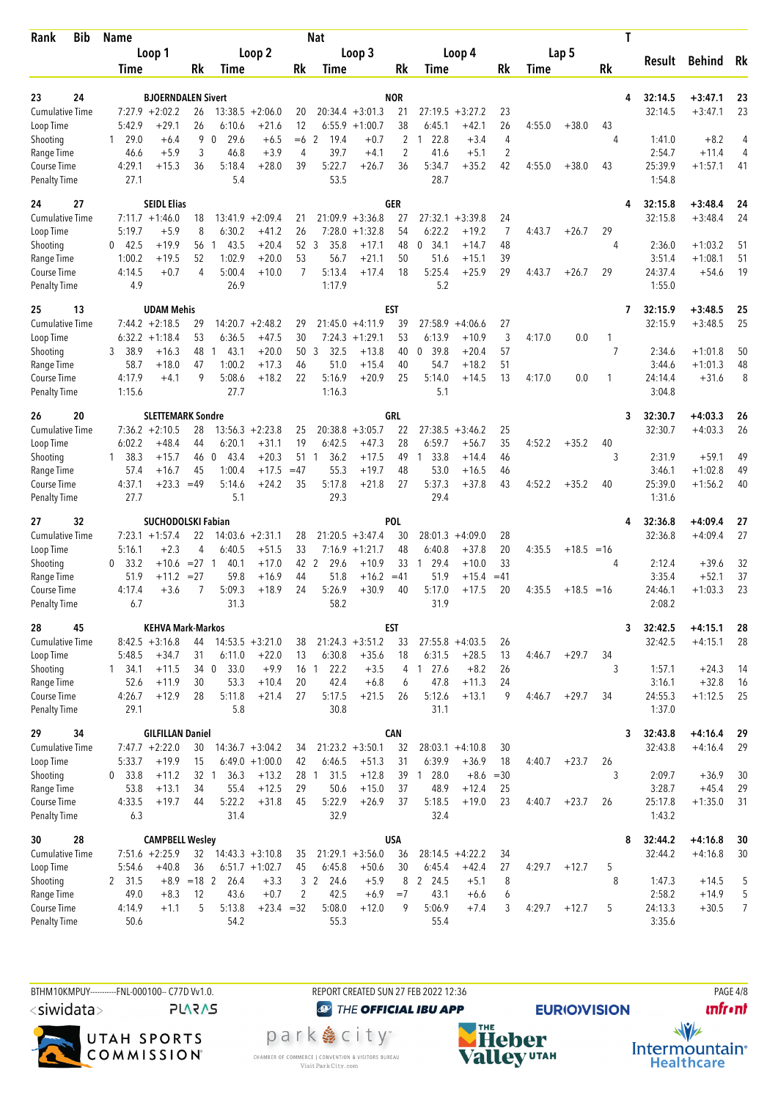| Rank                               | <b>Bib</b> | <b>Name</b>        |                                          |                     |                    |                | <b>Nat</b>        |                    |                  |                             |                    |                |        |         | Τ     |                    |                        |          |
|------------------------------------|------------|--------------------|------------------------------------------|---------------------|--------------------|----------------|-------------------|--------------------|------------------|-----------------------------|--------------------|----------------|--------|---------|-------|--------------------|------------------------|----------|
|                                    |            | Loop 1             |                                          |                     | Loop 2             |                |                   | Loop 3             |                  |                             | Loop 4             |                |        | Lap 5   |       | Result             | Behind                 | Rk       |
|                                    |            | Time               | Rk                                       | Time                |                    | Rk             | Time              |                    | Rk               | Time                        |                    | Rk             | Time   |         | Rk    |                    |                        |          |
|                                    |            |                    |                                          |                     |                    |                |                   |                    |                  |                             |                    |                |        |         |       |                    |                        |          |
| 23<br><b>Cumulative Time</b>       | 24         | $7:27.9$ +2:02.2   | <b>BJOERNDALEN Sivert</b><br>26          | $13:38.5 + 2:06.0$  |                    | 20             |                   | $20:34.4 + 3:01.3$ | <b>NOR</b><br>21 |                             | $27:19.5 + 3:27.2$ | 23             |        |         | 4     | 32:14.5<br>32:14.5 | $+3:47.1$<br>$+3:47.1$ | 23<br>23 |
| Loop Time                          |            | 5:42.9             | $+29.1$<br>26                            | 6:10.6              | $+21.6$            | 12             |                   | $6:55.9 +1:00.7$   | 38               | 6:45.1                      | $+42.1$            | 26             | 4:55.0 | $+38.0$ | 43    |                    |                        |          |
| Shooting                           |            | $1 \quad 29.0$     | 9<br>$+6.4$                              | 0<br>29.6           | $+6.5$             | $=6$ 2         | 19.4              | $+0.7$             | 2                | 22.8<br>1                   | $+3.4$             | 4              |        |         | 4     | 1:41.0             | $+8.2$                 | 4        |
| Range Time                         |            | 46.6               | 3<br>$+5.9$                              | 46.8                | $+3.9$             | 4              | 39.7              | $+4.1$             | $\overline{2}$   | 41.6                        | $+5.1$             | 2              |        |         |       | 2:54.7             | $+11.4$                | 4        |
| Course Time                        |            | 4:29.1             | $+15.3$<br>36                            | 5:18.4              | $+28.0$            | 39             | 5:22.7            | $+26.7$            | 36               | 5:34.7                      | $+35.2$            | 42             | 4:55.0 | $+38.0$ | 43    | 25:39.9            | $+1:57.1$              | 41       |
| <b>Penalty Time</b>                |            | 27.1               |                                          | 5.4                 |                    |                | 53.5              |                    |                  | 28.7                        |                    |                |        |         |       | 1:54.8             |                        |          |
| 24                                 | 27         |                    | <b>SEIDL Elias</b>                       |                     |                    |                |                   |                    | <b>GER</b>       |                             |                    |                |        |         | 4     | 32:15.8            | $+3:48.4$              | 24       |
| <b>Cumulative Time</b>             |            | $7:11.7 + 1:46.0$  | 18                                       | 13:41.9             | $+2:09.4$          | 21             |                   | $21:09.9 + 3:36.8$ | 27               | 27:32.1                     | $+3:39.8$          | 24             |        |         |       | 32:15.8            | $+3:48.4$              | 24       |
| Loop Time                          |            | 5:19.7             | $+5.9$<br>8                              | 6:30.2              | $+41.2$            | 26             | 7:28.0            | $+1:32.8$          | 54               | 6:22.2                      | $+19.2$            | $\overline{7}$ | 4:43.7 | $+26.7$ | 29    |                    |                        |          |
| Shooting<br>Range Time             |            | $0$ 42.5<br>1:00.2 | $+19.9$<br>56<br>52<br>$+19.5$           | 43.5<br>1<br>1:02.9 | $+20.4$<br>$+20.0$ | 52<br>53       | 3<br>35.8<br>56.7 | $+17.1$<br>$+21.1$ | 48<br>50         | $\mathbf 0$<br>34.1<br>51.6 | $+14.7$<br>$+15.1$ | 48<br>39       |        |         | 4     | 2:36.0<br>3:51.4   | $+1:03.2$<br>$+1:08.1$ | 51<br>51 |
| Course Time                        |            | 4:14.5             | $+0.7$<br>4                              | 5:00.4              | $+10.0$            | 7              | 5:13.4            | $+17.4$            | 18               | 5:25.4                      | $+25.9$            | 29             | 4:43.7 | $+26.7$ | 29    | 24:37.4            | $+54.6$                | 19       |
| <b>Penalty Time</b>                |            | 4.9                |                                          | 26.9                |                    |                | 1:17.9            |                    |                  | 5.2                         |                    |                |        |         |       | 1:55.0             |                        |          |
| 25                                 | 13         |                    | <b>UDAM Mehis</b>                        |                     |                    |                |                   |                    | EST              |                             |                    |                |        |         | 7     | 32:15.9            | $+3:48.5$              | 25       |
| <b>Cumulative Time</b>             |            | $7:44.2 +2:18.5$   | 29                                       | 14:20.7             | $+2:48.2$          | 29             | 21:45.0           | $+4:11.9$          | 39               | 27:58.9                     | $+4:06.6$          | 27             |        |         |       | 32:15.9            | $+3:48.5$              | 25       |
| Loop Time                          |            | $6:32.2 +1:18.4$   | 53                                       | 6:36.5              | $+47.5$            | 30             | 7:24.3            | $+1:29.1$          | 53               | 6:13.9                      | $+10.9$            | 3              | 4:17.0 | 0.0     | 1     |                    |                        |          |
| Shooting                           |            | 3 38.9             | $+16.3$<br>48                            | 43.1<br>-1          | $+20.0$            | 50             | 3<br>32.5         | $+13.8$            | 40               | 0, 39.8                     | $+20.4$            | 57             |        |         | 7     | 2:34.6             | $+1:01.8$              | 50       |
| Range Time                         |            | 58.7               | +18.0<br>47                              | 1:00.2              | $+17.3$            | 46             | 51.0              | $+15.4$            | 40               | 54.7                        | $+18.2$            | 51             |        |         |       | 3:44.6             | $+1:01.3$              | 48       |
| Course Time<br><b>Penalty Time</b> |            | 4:17.9<br>1:15.6   | 9<br>$+4.1$                              | 5:08.6<br>27.7      | $+18.2$            | 22             | 5:16.9<br>1:16.3  | $+20.9$            | 25               | 5:14.0<br>5.1               | $+14.5$            | 13             | 4:17.0 | 0.0     | 1     | 24:14.4<br>3:04.8  | $+31.6$                | 8        |
|                                    |            |                    |                                          |                     |                    |                |                   |                    |                  |                             |                    |                |        |         |       |                    |                        |          |
| 26<br><b>Cumulative Time</b>       | 20         | $7:36.2 +2:10.5$   | <b>SLETTEMARK Sondre</b><br>28           | $13:56.3 + 2:23.8$  |                    |                |                   | $20:38.8 + 3:05.7$ | GRL<br>22        | 27:38.5                     | $+3:46.2$          | 25             |        |         | 3     | 32:30.7<br>32:30.7 | $+4:03.3$<br>$+4:03.3$ | 26<br>26 |
| Loop Time                          |            | 6:02.2             | $+48.4$<br>44                            | 6:20.1              | $+31.1$            | 25<br>19       | 6:42.5            | $+47.3$            | 28               | 6:59.7                      | $+56.7$            | 35             | 4:52.2 | $+35.2$ | 40    |                    |                        |          |
| Shooting                           |            | 1, 38.3            | $+15.7$<br>46                            | $\mathbf 0$<br>43.4 | $+20.3$            | 51             | 36.2<br>1         | $+17.5$            | 49               | 33.8<br>$\mathbf{1}$        | $+14.4$            | 46             |        |         | 3     | 2:31.9             | $+59.1$                | 49       |
| Range Time                         |            | 57.4               | 45<br>$+16.7$                            | 1:00.4              | $+17.5$            | $=47$          | 55.3              | $+19.7$            | 48               | 53.0                        | $+16.5$            | 46             |        |         |       | 3:46.1             | $+1:02.8$              | 49       |
| Course Time                        |            | 4:37.1             | $+23.3$<br>$=49$                         | 5:14.6              | $+24.2$            | 35             | 5:17.8            | $+21.8$            | 27               | 5:37.3                      | $+37.8$            | 43             | 4:52.2 | $+35.2$ | 40    | 25:39.0            | $+1:56.2$              | 40       |
| <b>Penalty Time</b>                |            | 27.7               |                                          | 5.1                 |                    |                | 29.3              |                    |                  | 29.4                        |                    |                |        |         |       | 1:31.6             |                        |          |
| 27                                 | 32         |                    | <b>SUCHODOLSKI Fabian</b>                |                     |                    |                |                   |                    | POL              |                             |                    |                |        |         | 4     | 32:36.8            | $+4:09.4$              | 27       |
| <b>Cumulative Time</b>             |            | $7:23.1 + 1:57.4$  | 22                                       | $14:03.6 +2:31.1$   |                    | 28             |                   | $21:20.5 +3:47.4$  | 30               | 28:01.3                     | $+4:09.0$          | 28             |        |         |       | 32:36.8            | $+4:09.4$              | 27       |
| Loop Time                          |            | 5:16.1             | $+2.3$<br>4                              | 6:40.5              | $+51.5$            | 33             |                   | $7:16.9 + 1:21.7$  | 48               | 6:40.8                      | $+37.8$            | 20             | 4:35.5 | $+18.5$ | $=16$ |                    |                        |          |
| Shooting<br>Range Time             |            | $0$ 33.2<br>51.9   | $= 27$ 1<br>$+10.6$<br>$= 27$<br>$+11.2$ | 40.1<br>59.8        | $+17.0$<br>$+16.9$ | 42 2<br>44     | 29.6<br>51.8      | $+10.9$<br>$+16.2$ | 33<br>$=41$      | 29.4<br>-1<br>51.9          | $+10.0$<br>$+15.4$ | 33<br>$=41$    |        |         | 4     | 2:12.4<br>3:35.4   | $+39.6$<br>$+52.1$     | 32<br>37 |
| Course Time                        |            | 4:17.4             | $+3.6$                                   | 5:09.3              | $+18.9$            | 24             | 5:26.9            | $+30.9$            | 40               | 5:17.0                      | $+17.5$            | 20             | 4:35.5 | $+18.5$ | $=16$ | 24:46.1            | $+1:03.3$              | 23       |
| <b>Penalty Time</b>                |            | 6.7                |                                          | 31.3                |                    |                | 58.2              |                    |                  | 31.9                        |                    |                |        |         |       | 2:08.2             |                        |          |
| 28                                 | 45         |                    | <b>KEHVA Mark-Markos</b>                 |                     |                    |                |                   |                    | <b>EST</b>       |                             |                    |                |        |         | 3     | 32:42.5            | $+4:15.1$              | 28       |
| <b>Cumulative Time</b>             |            | $8:42.5 + 3:16.8$  | 44                                       | $14:53.5 + 3:21.0$  |                    | 38             |                   | $21:24.3 +3:51.2$  | 33               | $27:55.8 +4:03.5$           |                    | 26             |        |         |       | 32:42.5            | $+4:15.1$              | 28       |
| Loop Time                          |            | 5:48.5             | $+34.7$<br>31                            | 6:11.0              | $+22.0$            | 13             | 6:30.8            | $+35.6$            | 18               | 6:31.5                      | $+28.5$            | 13             | 4:46.7 | $+29.7$ | 34    |                    |                        |          |
| Shooting                           |            | $1 \quad 34.1$     | $+11.5$<br>34 0                          | 33.0                | $+9.9$             |                | 16 1<br>22.2      | $+3.5$             | 4                | 127.6                       | $+8.2$             | 26             |        |         | 3     | 1:57.1             | $+24.3$                | 14       |
| Range Time                         |            | 52.6               | $+11.9$<br>30                            | 53.3                | $+10.4$            | 20             | 42.4              | $+6.8$             | 6                | 47.8                        | $+11.3$            | 24<br>9        |        |         | 34    | 3:16.1             | $+32.8$                | 16       |
| Course Time<br><b>Penalty Time</b> |            | 4:26.7<br>29.1     | $+12.9$<br>28                            | 5:11.8<br>5.8       | $+21.4$            | 27             | 5:17.5<br>30.8    | $+21.5$            | 26               | 5:12.6<br>31.1              | $+13.1$            |                | 4:46.7 | $+29.7$ |       | 24:55.3<br>1:37.0  | $+1:12.5$              | 25       |
| 29                                 | 34         |                    | <b>GILFILLAN Daniel</b>                  |                     |                    |                |                   |                    | <b>CAN</b>       |                             |                    |                |        |         | 3     | 32:43.8            | $+4:16.4$              | 29       |
| <b>Cumulative Time</b>             |            | $7:47.7 + 2:22.0$  | 30                                       | $14:36.7 + 3:04.2$  |                    | 34             | $21:23.2 +3:50.1$ |                    | 32               |                             | $28:03.1 +4:10.8$  | 30             |        |         |       | 32:43.8            | $+4:16.4$              | 29       |
| Loop Time                          |            | 5:33.7             | $+19.9$<br>15                            | $6:49.0 +1:00.0$    |                    | 42             | 6:46.5            | $+51.3$            | 31               | 6:39.9                      | $+36.9$            | 18             | 4:40.7 | $+23.7$ | 26    |                    |                        |          |
| Shooting                           |            | 0 33.8             | $+11.2$<br>32 1                          | 36.3                | $+13.2$            | 28 1           | 31.5              | $+12.8$            |                  | 39 1 28.0                   | $+8.6 = 30$        |                |        |         | 3     | 2:09.7             | $+36.9$                | 30       |
| Range Time                         |            | 53.8               | $+13.1$<br>34                            | 55.4                | $+12.5$            | 29             | 50.6              | $+15.0$            | 37               | 48.9                        | $+12.4$            | 25             |        |         |       | 3:28.7             | $+45.4$                | 29       |
| Course Time                        |            | 4:33.5<br>6.3      | $+19.7$<br>44                            | 5:22.2<br>31.4      | $+31.8$            | 45             | 5:22.9<br>32.9    | $+26.9$            | 37               | 5:18.5<br>32.4              | $+19.0$            | 23             | 4:40.7 | $+23.7$ | 26    | 25:17.8<br>1:43.2  | $+1:35.0$              | 31       |
| <b>Penalty Time</b>                |            |                    |                                          |                     |                    |                |                   |                    |                  |                             |                    |                |        |         |       |                    |                        |          |
| 30<br><b>Cumulative Time</b>       | 28         | $7:51.6 +2:25.9$   | <b>CAMPBELL Wesley</b><br>32             | $14:43.3 + 3:10.8$  |                    | 35             |                   | $21:29.1 + 3:56.0$ | <b>USA</b><br>36 |                             | $28:14.5 +4:22.2$  | 34             |        |         | 8     | 32:44.2<br>32:44.2 | $+4:16.8$<br>$+4:16.8$ | 30<br>30 |
| Loop Time                          |            | 5:54.6             | $+40.8$<br>36                            | $6:51.7 +1:02.7$    |                    | 45             | 6:45.8            | $+50.6$            | 30               | 6:45.4                      | $+42.4$            | 27             | 4:29.7 | $+12.7$ | 5     |                    |                        |          |
| Shooting                           |            | 2 31.5             | $=18$ 2<br>$+8.9$                        | 26.4                | $+3.3$             |                | 3 2<br>24.6       | $+5.9$             | 8                | 2 24.5                      | $+5.1$             | 8              |        |         | 8     | 1:47.3             | $+14.5$                | 5        |
| Range Time                         |            | 49.0               | $+8.3$<br>12                             | 43.6                | $+0.7$             | $\overline{2}$ | 42.5              | $+6.9$             | $=7$             | 43.1                        | $+6.6$             | 6              |        |         |       | 2:58.2             | $+14.9$                | 5        |
| Course Time                        |            | 4:14.9             | 5<br>$+1.1$                              | 5:13.8              | $+23.4 = 32$       |                | 5:08.0            | $+12.0$            | 9                | 5:06.9                      | $+7.4$             | 3              | 4:29.7 | $+12.7$ | 5     | 24:13.3            | $+30.5$                | 7        |
| <b>Penalty Time</b>                |            | 50.6               |                                          | 54.2                |                    |                | 55.3              |                    |                  | 55.4                        |                    |                |        |         |       | 3:35.6             |                        |          |

BTHM10KMPUY----------FNL-000100-- C77D W1.0. REPORT CREATED SUN 27 FEB 2022 12:36 PAGE 4/8 <siwidata>

**PLARAS** 



CHAMBER OF COMMERCE | CONVENTION & VISITORS BUREAU<br>Visit Park City.com

**@** THE OFFICIAL IBU APP park e city<sup>®</sup>



**unfront** 

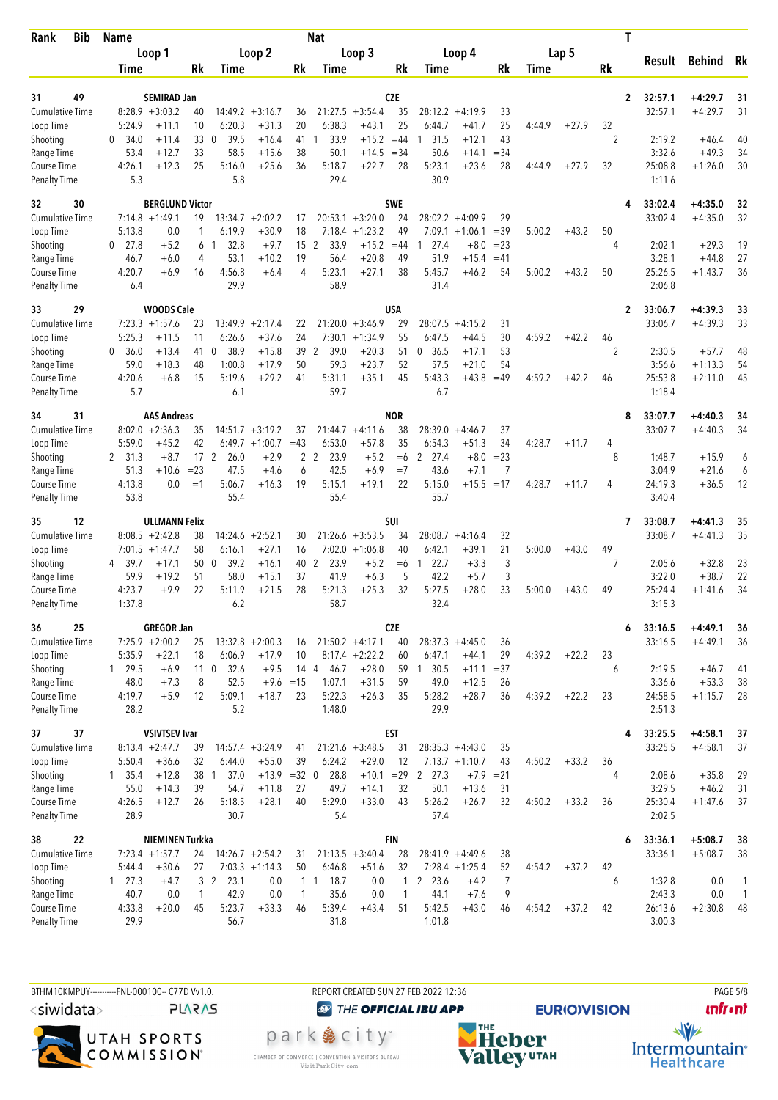| Rank                               | <b>Bib</b> | <b>Name</b>       |                                            |                 |                                |                      |              | <b>Nat</b>       |                    |                  |                        |                    |                |             |         | T              |                    |                        |                |
|------------------------------------|------------|-------------------|--------------------------------------------|-----------------|--------------------------------|----------------------|--------------|------------------|--------------------|------------------|------------------------|--------------------|----------------|-------------|---------|----------------|--------------------|------------------------|----------------|
|                                    |            |                   | Loop 1                                     |                 |                                | Loop 2               |              |                  | Loop 3             |                  |                        | Loop 4             |                |             | Lap 5   |                |                    |                        |                |
|                                    |            | Time              |                                            | Rk              | <b>Time</b>                    |                      | Rk           | Time             |                    | Rk               | Time                   |                    | Rk             | <b>Time</b> |         | Rk             | Result             | <b>Behind</b>          | Rk             |
|                                    |            |                   |                                            |                 |                                |                      |              |                  |                    |                  |                        |                    |                |             |         |                |                    |                        |                |
| 31<br><b>Cumulative Time</b>       | 49         |                   | <b>SEMIRAD Jan</b><br>$8:28.9 + 3:03.2$    |                 |                                | $14:49.2 + 3:16.7$   |              | 21:27.5          | $+3:54.4$          | CZE<br>35        | 28:12.2                | $+4:19.9$          | 33             |             |         | $\overline{2}$ | 32:57.1<br>32:57.1 | +4:29.7<br>$+4:29.7$   | 31<br>31       |
| Loop Time                          |            | 5:24.9            | $+11.1$                                    | 40<br>10        | 6:20.3                         | $+31.3$              | 36<br>20     | 6:38.3           | $+43.1$            | 25               | 6:44.7                 | $+41.7$            | 25             | 4:44.9      | $+27.9$ | 32             |                    |                        |                |
| Shooting                           |            | 34.0<br>0         | $+11.4$                                    | 33              | 39.5<br>$\mathbf{0}$           | $+16.4$              | 41           | 33.9<br>1        | $+15.2$            | $=44$            | 31.5<br>1              | $+12.1$            | 43             |             |         | 2              | 2:19.2             | $+46.4$                | 40             |
| Range Time                         |            | 53.4              | $+12.7$                                    | 33              | 58.5                           | $+15.6$              | 38           | 50.1             | $+14.5$            | $= 34$           | 50.6                   | $+14.1$            | $= 34$         |             |         |                | 3:32.6             | $+49.3$                | 34             |
| <b>Course Time</b>                 |            | 4:26.1            | $+12.3$                                    | 25              | 5:16.0                         | $+25.6$              | 36           | 5:18.7           | $+22.7$            | 28               | 5:23.1                 | $+23.6$            | 28             | 4:44.9      | $+27.9$ | 32             | 25:08.8            | $+1:26.0$              | 30             |
| <b>Penalty Time</b>                |            | 5.3               |                                            |                 | 5.8                            |                      |              | 29.4             |                    |                  | 30.9                   |                    |                |             |         |                | 1:11.6             |                        |                |
| 32                                 | 30         |                   | <b>BERGLUND Victor</b>                     |                 |                                |                      |              |                  |                    | <b>SWE</b>       |                        |                    |                |             |         | 4              | 33:02.4            | $+4:35.0$              | 32             |
| <b>Cumulative Time</b>             |            |                   | $7:14.8 + 1:49.1$                          | 19              | 13:34.7                        | $+2:02.2$            | 17           |                  | $20:53.1 + 3:20.0$ | 24               |                        | $28:02.2 + 4:09.9$ | 29             |             |         |                | 33:02.4            | $+4:35.0$              | 32             |
| Loop Time                          |            | 5:13.8            | 0.0                                        |                 | 6:19.9                         | $+30.9$              | 18           | 7:18.4           | $+1:23.2$          | 49               | 7:09.1                 | $+1:06.1$          | $=39$          | 5:00.2      | $+43.2$ | 50             |                    |                        |                |
| Shooting                           |            | 27.8<br>0         | $+5.2$                                     | 6<br>4          | 32.8<br>-1                     | $+9.7$               | 15           | 2<br>33.9        | $+15.2$            | $=44$            | 27.4<br>1              | $+8.0$             | $= 23$         |             |         | 4              | 2:02.1<br>3:28.1   | $+29.3$                | 19<br>27       |
| Range Time<br>Course Time          |            | 46.7<br>4:20.7    | $+6.0$<br>$+6.9$                           | 16              | 53.1<br>4:56.8                 | $+10.2$<br>$+6.4$    | 19<br>4      | 56.4<br>5:23.1   | $+20.8$<br>$+27.1$ | 49<br>38         | 51.9<br>5:45.7         | $+15.4$<br>+46.2   | $=41$<br>54    | 5:00.2      | $+43.2$ | 50             | 25:26.5            | $+44.8$<br>$+1:43.7$   | 36             |
| <b>Penalty Time</b>                |            | 6.4               |                                            |                 | 29.9                           |                      |              | 58.9             |                    |                  | 31.4                   |                    |                |             |         |                | 2:06.8             |                        |                |
| 33                                 | 29         |                   | <b>WOODS Cale</b>                          |                 |                                |                      |              |                  |                    | USA              |                        |                    |                |             |         | $\mathbf{2}$   | 33:06.7            | $+4:39.3$              | 33             |
| <b>Cumulative Time</b>             |            |                   | $7:23.3 +1:57.6$                           | 23              | 13:49.9                        | $+2:17.4$            | 22           | 21:20.0          | $+3:46.9$          | 29               | 28:07.5                | $+4:15.2$          | 31             |             |         |                | 33:06.7            | $+4:39.3$              | 33             |
| Loop Time                          |            | 5:25.3            | $+11.5$                                    | 11              | 6:26.6                         | $+37.6$              | 24           | 7:30.1           | $+1:34.9$          | 55               | 6:47.5                 | $+44.5$            | 30             | 4:59.2      | $+42.2$ | 46             |                    |                        |                |
| Shooting                           |            | 36.0<br>0         | $+13.4$                                    | 41              | 38.9<br>$\mathbf{0}$           | $+15.8$              | 39           | 39.0<br>2        | $+20.3$            | 51               | 36.5<br>0              | $+17.1$            | 53             |             |         | $\overline{2}$ | 2:30.5             | $+57.7$                | 48             |
| Range Time                         |            | 59.0              | $+18.3$                                    | 48              | 1:00.8                         | $+17.9$              | 50           | 59.3             | $+23.7$            | 52               | 57.5                   | $+21.0$            | 54             |             |         |                | 3:56.6             | $+1:13.3$              | 54             |
| Course Time<br><b>Penalty Time</b> |            | 4:20.6<br>5.7     | $+6.8$                                     | 15              | 5:19.6<br>6.1                  | $+29.2$              | 41           | 5:31.1<br>59.7   | $+35.1$            | 45               | 5:43.3<br>6.7          | $+43.8$            | $=49$          | 4:59.2      | $+42.2$ | 46             | 25:53.8<br>1:18.4  | $+2:11.0$              | 45             |
|                                    |            |                   |                                            |                 |                                |                      |              |                  |                    |                  |                        |                    |                |             |         |                |                    |                        |                |
| 34<br><b>Cumulative Time</b>       | 31         |                   | <b>AAS Andreas</b><br>$8:02.0 + 2:36.3$    | 35              |                                | $14:51.7 + 3:19.2$   | 37           |                  | $21:44.7 + 4:11.6$ | <b>NOR</b><br>38 | 28:39.0                | $+4:46.7$          | 37             |             |         | 8              | 33:07.7<br>33:07.7 | $+4:40.3$<br>$+4:40.3$ | 34<br>34       |
| Loop Time                          |            | 5:59.0            | $+45.2$                                    | 42              | 6:49.7                         | $+1:00.7$            | $=43$        | 6:53.0           | $+57.8$            | 35               | 6:54.3                 | $+51.3$            | 34             | 4:28.7      | $+11.7$ | 4              |                    |                        |                |
| Shooting                           |            | 2 31.3            | $+8.7$                                     | 17 <sup>2</sup> | 26.0                           | $+2.9$               | 2            | 2<br>23.9        | $+5.2$             | $=6$             | 2<br>27.4              | $+8.0$             | $= 23$         |             |         | 8              | 1:48.7             | $+15.9$                | 6              |
| Range Time                         |            | 51.3              | $+10.6$                                    | $= 23$          | 47.5                           | $+4.6$               | 6            | 42.5             | $+6.9$             | $=7$             | 43.6                   | $+7.1$             | 7              |             |         |                | 3:04.9             | $+21.6$                | 6              |
| Course Time                        |            | 4:13.8            | 0.0                                        | $=1$            | 5:06.7                         | $+16.3$              | 19           | 5:15.1           | $+19.1$            | 22               | 5:15.0                 | $+15.5$            | $=17$          | 4:28.7      | $+11.7$ | 4              | 24:19.3            | $+36.5$                | 12             |
| <b>Penalty Time</b>                |            | 53.8              |                                            |                 | 55.4                           |                      |              | 55.4             |                    |                  | 55.7                   |                    |                |             |         |                | 3:40.4             |                        |                |
| 35                                 | 12         |                   | <b>ULLMANN Felix</b>                       |                 |                                |                      |              |                  |                    | SUI              |                        |                    |                |             |         | 7              | 33:08.7            | $+4:41.3$              | 35             |
| <b>Cumulative Time</b>             |            |                   | $8:08.5 + 2:42.8$                          | 38              | 14:24.6                        | $+2:52.1$            | 30           |                  | $21:26.6 + 3:53.5$ | 34               |                        | $28:08.7 + 4:16.4$ | 32             |             |         |                | 33:08.7            | $+4:41.3$              | 35             |
| Loop Time                          |            |                   | $7:01.5 +1:47.7$                           | 58              | 6:16.1                         | $+27.1$              | 16<br>40 2   | 7:02.0           | $+1:06.8$          | 40               | 6:42.1                 | $+39.1$            | 21             | 5:00.0      | $+43.0$ | 49<br>7        |                    |                        |                |
| Shooting<br>Range Time             |            | 39.7<br>4<br>59.9 | $+17.1$<br>$+19.2$                         | 50<br>51        | $\overline{0}$<br>39.2<br>58.0 | $+16.1$<br>$+15.1$   | 37           | 23.9<br>41.9     | $+5.2$<br>$+6.3$   | $=6$<br>5        | 22.7<br>1<br>42.2      | $+3.3$<br>$+5.7$   | 3<br>3         |             |         |                | 2:05.6<br>3:22.0   | $+32.8$<br>$+38.7$     | 23<br>22       |
| <b>Course Time</b>                 |            | 4:23.7            | $+9.9$                                     | 22              | 5:11.9                         | $+21.5$              | 28           | 5:21.3           | $+25.3$            | 32               | 5:27.5                 | $+28.0$            | 33             | 5:00.0      | $+43.0$ | 49             | 25:24.4            | $+1:41.6$              | 34             |
| <b>Penalty Time</b>                |            | 1:37.8            |                                            |                 | 6.2                            |                      |              | 58.7             |                    |                  | 32.4                   |                    |                |             |         |                | 3:15.3             |                        |                |
| 36                                 | 25         |                   | <b>GREGOR Jan</b>                          |                 |                                |                      |              |                  |                    | <b>CZE</b>       |                        |                    |                |             |         | 6              | 33:16.5            | $+4:49.1$              | 36             |
| <b>Cumulative Time</b>             |            |                   | $7:25.9 +2:00.2$                           | 25              |                                | $13:32.8 + 2:00.3$   | 16           |                  | $21:50.2 +4:17.1$  | 40               |                        | $28:37.3 +4:45.0$  | 36             |             |         |                | 33:16.5            | $+4:49.1$              | 36             |
| Loop Time                          |            | 5:35.9            | $+22.1$                                    | 18              | 6:06.9                         | $+17.9$              | 10           |                  | $8:17.4 +2:22.2$   | 60               | 6:47.1                 | $+44.1$            | 29             | 4:39.2      | $+22.2$ | 23             |                    |                        |                |
| Shooting                           |            | 1 29.5            | +6.9                                       |                 | 32.6<br>11 <sub>0</sub>        | $+9.5$               | 14 4         | 46.7             | $+28.0$            |                  | 59 1 30.5              | $+11.1$            | $=37$          |             |         | 6              | 2:19.5             | $+46.7$                | 41             |
| Range Time                         |            | 48.0              | $+7.3$                                     | 8               | 52.5                           |                      | $+9.6 = 15$  | 1:07.1           | $+31.5$            | 59               | 49.0                   | $+12.5$            | 26             |             |         |                | 3:36.6             | $+53.3$                | 38             |
| Course Time<br><b>Penalty Time</b> |            | 4:19.7<br>28.2    | $+5.9$                                     | 12              | 5:09.1<br>5.2                  | $+18.7$              | 23           | 5:22.3<br>1:48.0 | $+26.3$            | 35               | 5:28.2<br>29.9         | $+28.7$            | 36             | 4:39.2      | $+22.2$ | 23             | 24:58.5<br>2:51.3  | $+1:15.7$              | 28             |
| 37                                 | 37         |                   | <b>VSIVTSEV Ivar</b>                       |                 |                                |                      |              |                  |                    | <b>EST</b>       |                        |                    |                |             |         | 4              | 33:25.5            | $+4:58.1$              |                |
| <b>Cumulative Time</b>             |            |                   | $8:13.4 +2:47.7$                           | 39              |                                | $14:57.4 + 3:24.9$   | 41           |                  | $21:21.6 + 3:48.5$ | 31               |                        | $28:35.3 +4:43.0$  | 35             |             |         |                | 33:25.5            | $+4:58.1$              | 37<br>37       |
| Loop Time                          |            | 5:50.4            | $+36.6$                                    | 32              | 6:44.0                         | $+55.0$              | 39           | 6:24.2           | $+29.0$            | 12               |                        | $7:13.7 +1:10.7$   | 43             | 4:50.2      | $+33.2$ | 36             |                    |                        |                |
| Shooting                           |            | $1 \quad 35.4$    | $+12.8$                                    | 38 1            | 37.0                           | $+13.9 = 32 \quad 0$ |              | 28.8             | $+10.1 = 29$       |                  | $\overline{2}$<br>27.3 | $+7.9$             | $= 21$         |             |         | 4              | 2:08.6             | $+35.8$                | 29             |
| Range Time                         |            | 55.0              | $+14.3$                                    | 39              | 54.7                           | $+11.8$              | 27           | 49.7             | $+14.1$            | 32               | 50.1                   | $+13.6$            | 31             |             |         |                | 3:29.5             | $+46.2$                | 31             |
| Course Time<br><b>Penalty Time</b> |            | 4:26.5<br>28.9    | $+12.7$                                    | 26              | 5:18.5<br>30.7                 | $+28.1$              | 40           | 5:29.0<br>5.4    | $+33.0$            | 43               | 5:26.2<br>57.4         | $+26.7$            | 32             | 4:50.2      | $+33.2$ | 36             | 25:30.4<br>2:02.5  | $+1:47.6$              | 37             |
|                                    |            |                   |                                            |                 |                                |                      |              |                  |                    |                  |                        |                    |                |             |         |                |                    |                        |                |
| 38<br><b>Cumulative Time</b>       | 22         |                   | <b>NIEMINEN Turkka</b><br>$7:23.4$ +1:57.7 |                 |                                | $14:26.7 + 2:54.2$   | 31           |                  | $21:13.5 + 3:40.4$ | <b>FIN</b><br>28 |                        | $28:41.9 +4:49.6$  | 38             |             |         | 6              | 33:36.1<br>33:36.1 | $+5:08.7$<br>$+5:08.7$ | 38<br>38       |
| Loop Time                          |            | 5:44.4            | $+30.6$                                    | 24<br>27        |                                | $7:03.3 +1:14.3$     | 50           | 6:46.8           | $+51.6$            | 32               |                        | $7:28.4$ +1:25.4   | 52             | 4:54.2      | $+37.2$ | 42             |                    |                        |                |
| Shooting                           |            | $1 \quad 27.3$    | $+4.7$                                     |                 | 3 <sup>2</sup><br>23.1         | 0.0                  |              | 1 1 1 8.7        | 0.0                | 1                | 2 23.6                 | $+4.2$             | $\overline{7}$ |             |         | 6              | 1:32.8             | 0.0                    | 1              |
| Range Time                         |            | 40.7              | 0.0                                        | $\mathbf{1}$    | 42.9                           | 0.0                  | $\mathbf{1}$ | 35.6             | 0.0                | $\mathbf{1}$     | 44.1                   | $+7.6$             | 9              |             |         |                | 2:43.3             | 0.0                    | $\overline{1}$ |
| Course Time                        |            | 4:33.8            | $+20.0$                                    | 45              | 5:23.7                         | $+33.3$              | 46           | 5:39.4           | $+43.4$            | 51               | 5:42.5                 | $+43.0$            | 46             | 4:54.2      | $+37.2$ | 42             | 26:13.6            | $+2:30.8$              | 48             |
| <b>Penalty Time</b>                |            | 29.9              |                                            |                 | 56.7                           |                      |              | 31.8             |                    |                  | 1:01.8                 |                    |                |             |         |                | 3:00.3             |                        |                |

BTHM10KMPUY----------FNL-000100-- C77D W1.0. REPORT CREATED SUN 27 FEB 2022 12:36 PAGE 5/8 <siwidata>

**PLARAS** 

UTAH SPORTS<br>COMMISSION®

CHAMBER OF COMMERCE | CONVENTION & VISITORS BUREAU<br>Visit Park City.com

**@** THE OFFICIAL IBU APP park e city<sup>®</sup>



**EURIO)VISION** 

**unfront** 

 $\frac{1}{\sqrt{2}}$ Intermountain<sup>®</sup><br>Healthcare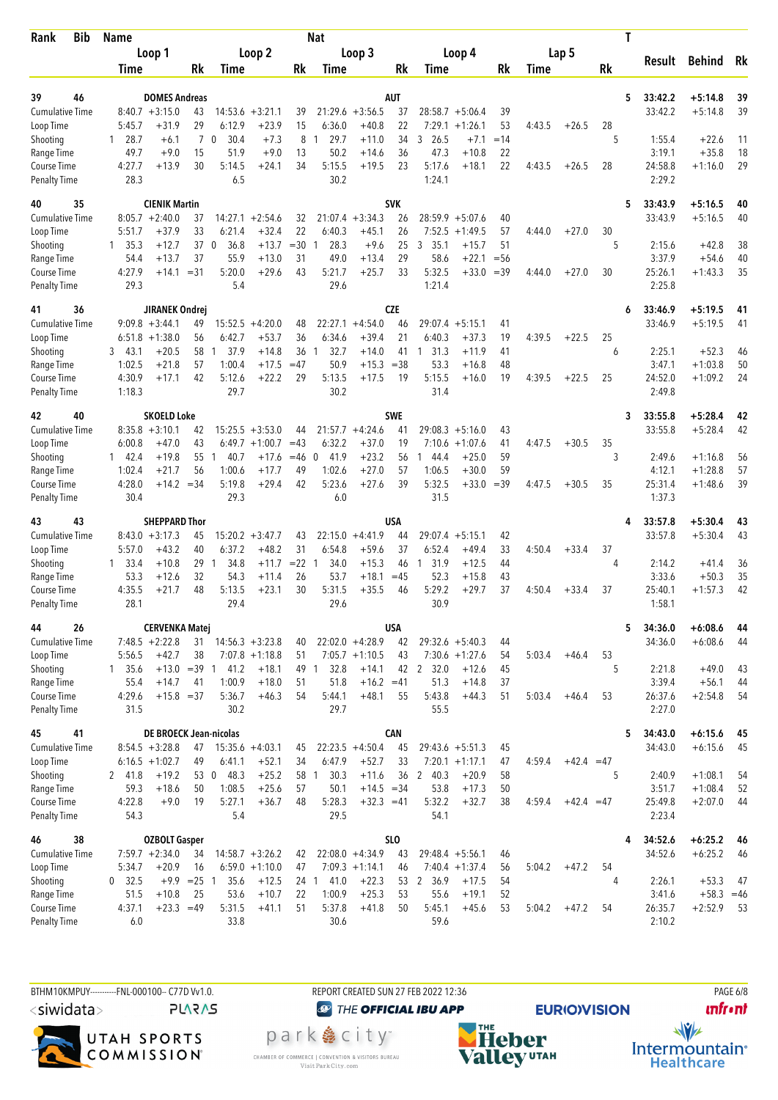| <b>Bib</b><br>Rank                 | <b>Name</b>          |                                           |                |                        |                             |                | Nat                           |                         |                  |                                |                      |                 |             |              | Τ       |                    |                        |          |
|------------------------------------|----------------------|-------------------------------------------|----------------|------------------------|-----------------------------|----------------|-------------------------------|-------------------------|------------------|--------------------------------|----------------------|-----------------|-------------|--------------|---------|--------------------|------------------------|----------|
|                                    |                      | Loop 1                                    |                |                        | Loop 2                      |                |                               | Loop 3                  |                  |                                | Loop 4               |                 |             | Lap 5        |         |                    |                        |          |
|                                    | Time                 |                                           | Rk             | Time                   |                             | Rk             | Time                          |                         | Rk               | Time                           |                      | Rk              | <b>Time</b> |              | Rk      | Result             | <b>Behind</b>          | Rk       |
|                                    |                      |                                           |                |                        |                             |                |                               |                         |                  |                                |                      |                 |             |              |         |                    |                        |          |
| 46<br>39<br><b>Cumulative Time</b> |                      | <b>DOMES Andreas</b><br>$8:40.7 + 3:15.0$ | 43             | 14:53.6                | $+3:21.1$                   | 39             | 21:29.6                       | $+3:56.5$               | AUT<br>37        |                                | $28:58.7 + 5:06.4$   | 39              |             |              | 5       | 33:42.2<br>33:42.2 | $+5:14.8$<br>$+5:14.8$ | 39<br>39 |
| Loop Time                          | 5:45.7               | $+31.9$                                   | 29             | 6:12.9                 | $+23.9$                     | 15             | 6:36.0                        | $+40.8$                 | 22               | 7:29.1                         | $+1:26.1$            | 53              | 4:43.5      | $+26.5$      | 28      |                    |                        |          |
| Shooting                           | 28.7<br>$\mathbf{1}$ | $+6.1$                                    | $\overline{7}$ | $\mathbf 0$<br>30.4    | $+7.3$                      | 8              | 29.7<br>1                     | $+11.0$                 | 34               | 3, 26.5                        | $+7.1$               | $=14$           |             |              | 5       | 1:55.4             | $+22.6$                | 11       |
| Range Time                         | 49.7                 | $+9.0$                                    | 15             | 51.9                   | $+9.0$                      | 13             | 50.2                          | $+14.6$                 | 36               | 47.3                           | $+10.8$              | 22              |             |              |         | 3:19.1             | $+35.8$                | 18       |
| Course Time                        | 4:27.7               | $+13.9$                                   | 30             | 5:14.5                 | $+24.1$                     | 34             | 5:15.5                        | $+19.5$                 | 23               | 5:17.6                         | $+18.1$              | 22              | 4:43.5      | $+26.5$      | 28      | 24:58.8            | $+1:16.0$              | 29       |
| <b>Penalty Time</b>                | 28.3                 |                                           |                | 6.5                    |                             |                | 30.2                          |                         |                  | 1:24.1                         |                      |                 |             |              |         | 2:29.2             |                        |          |
| 40<br>35                           |                      | <b>CIENIK Martin</b>                      |                |                        |                             |                |                               |                         | <b>SVK</b>       |                                |                      |                 |             |              | 5       | 33:43.9            | $+5:16.5$              | 40       |
| <b>Cumulative Time</b>             |                      | $8:05.7 + 2:40.0$                         | 37             | 14:27.1                | $+2:54.6$                   | 32             |                               | $21:07.4 +3:34.3$       | 26               |                                | $28:59.9 + 5:07.6$   | 40              |             |              |         | 33:43.9            | $+5:16.5$              | 40       |
| Loop Time                          | 5:51.7               | $+37.9$                                   | 33             | 6:21.4                 | $+32.4$                     | 22             | 6:40.3                        | $+45.1$                 | 26               | 7:52.5                         | $+1:49.5$            | 57              | 4:44.0      | $+27.0$      | 30      |                    |                        |          |
| Shooting                           | $1 \quad 35.3$       | $+12.7$                                   | 37             | $\overline{0}$<br>36.8 | $+13.7$                     | $=30$          | 28.3<br>$\mathbf{1}$          | $+9.6$                  | 25               | 3<br>35.1                      | $+15.7$              | 51              |             |              | 5       | 2:15.6             | $+42.8$                | 38       |
| Range Time<br>Course Time          | 54.4<br>4:27.9       | $+13.7$<br>+14.1                          | 37<br>$= 31$   | 55.9<br>5:20.0         | $+13.0$<br>$+29.6$          | 31<br>43       | 49.0<br>5:21.7                | $+13.4$<br>$+25.7$      | 29<br>33         | 58.6<br>5:32.5                 | $+22.1$<br>$+33.0$   | $=$ 56<br>$=39$ | 4:44.0      | $+27.0$      | 30      | 3:37.9<br>25:26.1  | $+54.6$<br>$+1:43.3$   | 40<br>35 |
| <b>Penalty Time</b>                | 29.3                 |                                           |                | 5.4                    |                             |                | 29.6                          |                         |                  | 1:21.4                         |                      |                 |             |              |         | 2:25.8             |                        |          |
| 41<br>36                           |                      | JIRANEK Ondrej                            |                |                        |                             |                |                               |                         | CZE              |                                |                      |                 |             |              | 6       | 33:46.9            | $+5:19.5$              | 41       |
| <b>Cumulative Time</b>             |                      | $9:09.8 + 3:44.1$                         | 49             | 15:52.5                | $+4:20.0$                   | 48             | 22:27.1                       | $+4:54.0$               | 46               | 29:07.4                        | $+5:15.1$            | 41              |             |              |         | 33:46.9            | $+5:19.5$              | 41       |
| Loop Time                          |                      | $6:51.8 + 1:38.0$                         | 56             | 6:42.7                 | $+53.7$                     | 36             | 6:34.6                        | $+39.4$                 | 21               | 6:40.3                         | $+37.3$              | 19              | 4:39.5      | $+22.5$      | 25      |                    |                        |          |
| Shooting                           | 3, 43.1              | $+20.5$                                   | 58             | 37.9<br>-1             | $+14.8$                     | 36             | 32.7<br>-1                    | $+14.0$                 | 41               | 31.3<br>$\mathbf{1}$           | $+11.9$              | 41              |             |              | 6       | 2:25.1             | $+52.3$                | 46       |
| Range Time                         | 1:02.5               | $+21.8$                                   | 57             | 1:00.4                 | $+17.5$                     | $=47$          | 50.9                          | $+15.3$                 | $=38$            | 53.3                           | $+16.8$              | 48              |             |              |         | 3:47.1             | $+1:03.8$              | 50       |
| <b>Course Time</b>                 | 4:30.9               | $+17.1$                                   | 42             | 5:12.6                 | $+22.2$                     | 29             | 5:13.5                        | $+17.5$                 | 19               | 5:15.5                         | $+16.0$              | 19              | 4:39.5      | $+22.5$      | 25      | 24:52.0            | $+1:09.2$              | 24       |
| <b>Penalty Time</b>                | 1:18.3               |                                           |                | 29.7                   |                             |                | 30.2                          |                         |                  | 31.4                           |                      |                 |             |              |         | 2:49.8             |                        |          |
| 40<br>42                           |                      | <b>SKOELD Loke</b>                        |                |                        |                             |                |                               |                         | <b>SWE</b>       |                                |                      |                 |             |              | 3       | 33:55.8            | $+5:28.4$              | 42       |
| <b>Cumulative Time</b>             |                      | $8:35.8 + 3:10.1$                         | 42             |                        | $15:25.5 + 3:53.0$          | 44             |                               | $21:57.7 + 4:24.6$      | 41               |                                | $29:08.3 + 5:16.0$   | 43              |             |              |         | 33:55.8            | $+5:28.4$              | 42       |
| Loop Time                          | 6:00.8               | $+47.0$<br>$+19.8$                        | 43<br>55       | 40.7<br>-1             | $6:49.7 +1:00.7$<br>$+17.6$ | $=43$<br>$=46$ | 6:32.2<br>41.9<br>$\mathbf 0$ | $+37.0$<br>$+23.2$      | 19<br>56         | 7:10.6<br>1                    | $+1:07.6$<br>$+25.0$ | 41<br>59        | 4:47.5      | $+30.5$      | 35<br>3 | 2:49.6             | $+1:16.8$              | 56       |
| Shooting<br>Range Time             | 142.4<br>1:02.4      | $+21.7$                                   | 56             | 1:00.6                 | $+17.7$                     | 49             | 1:02.6                        | $+27.0$                 | 57               | 44.4<br>1:06.5                 | $+30.0$              | 59              |             |              |         | 4:12.1             | $+1:28.8$              | 57       |
| Course Time                        | 4:28.0               | $+14.2$                                   | $= 34$         | 5:19.8                 | $+29.4$                     | 42             | 5:23.6                        | $+27.6$                 | 39               | 5:32.5                         | $+33.0$              | $=39$           | 4:47.5      | $+30.5$      | 35      | 25:31.4            | $+1:48.6$              | 39       |
| <b>Penalty Time</b>                | 30.4                 |                                           |                | 29.3                   |                             |                | 6.0                           |                         |                  | 31.5                           |                      |                 |             |              |         | 1:37.3             |                        |          |
| 43<br>43                           |                      | <b>SHEPPARD Thor</b>                      |                |                        |                             |                |                               |                         | USA              |                                |                      |                 |             |              | 4       | 33:57.8            | $+5:30.4$              | 43       |
| <b>Cumulative Time</b>             |                      | $8:43.0 + 3:17.3$                         | 45             |                        | $15:20.2 + 3:47.7$          | 43             | 22:15.0                       | $+4:41.9$               | 44               | 29:07.4                        | $+5:15.1$            | 42              |             |              |         | 33:57.8            | $+5:30.4$              | 43       |
| Loop Time                          | 5:57.0               | $+43.2$                                   | 40             | 6:37.2                 | $+48.2$                     | 31             | 6:54.8                        | $+59.6$                 | 37               | 6:52.4                         | $+49.4$              | 33              | 4:50.4      | $+33.4$      | 37      |                    |                        |          |
| Shooting                           | $1 \quad 33.4$       | $+10.8$                                   | 29             | 34.8<br>-1             | $+11.7$                     | $=22$          | 34.0<br>$\overline{1}$        | $+15.3$                 | 46               | 31.9<br>1                      | $+12.5$              | 44              |             |              | 4       | 2:14.2             | $+41.4$                | 36       |
| Range Time                         | 53.3                 | $+12.6$                                   | 32             | 54.3                   | $+11.4$                     | 26             | 53.7                          | $+18.1$                 | $=45$            | 52.3                           | $+15.8$              | 43              |             |              |         | 3:33.6             | $+50.3$                | 35       |
| Course Time<br><b>Penalty Time</b> | 4:35.5<br>28.1       | $+21.7$                                   | 48             | 5:13.5<br>29.4         | $+23.1$                     | 30             | 5:31.5<br>29.6                | $+35.5$                 | 46               | 5:29.2<br>30.9                 | $+29.7$              | 37              | 4:50.4      | $+33.4$      | 37      | 25:40.1<br>1:58.1  | $+1:57.3$              | 42       |
|                                    |                      |                                           |                |                        |                             |                |                               |                         |                  |                                |                      |                 |             |              |         |                    |                        |          |
| 44<br>26<br>Cumulative Time        |                      | <b>CERVENKA Matej</b><br>$7:48.5 +2:22.8$ | 31             |                        | $14:56.3 + 3:23.8$          | 40             |                               | $22:02.0 +4:28.9$       | <b>USA</b><br>42 | $29:32.6 + 5:40.3$             |                      | 44              |             |              | 5       | 34:36.0<br>34:36.0 | $+6:08.6$<br>$+6:08.6$ | 44<br>44 |
| Loop Time                          | 5:56.5               | $+42.7$                                   | 38             |                        | $7:07.8 +1:18.8$            | 51             |                               | $7:05.7 +1:10.5$        | 43               |                                | $7:30.6 +1:27.6$     | 54              | 5:03.4      | $+46.4$      | 53      |                    |                        |          |
| Shooting                           | $1 \quad 35.6$       | $+13.0 = 39$ 1                            |                | 41.2                   | $+18.1$                     | 49 1           | 32.8                          | $+14.1$                 |                  | 42 2 32.0                      | $+12.6$              | 45              |             |              | 5       | 2:21.8             | $+49.0$                | 43       |
| Range Time                         | 55.4                 | $+14.7$                                   | 41             | 1:00.9                 | $+18.0$                     | 51             | 51.8                          | $+16.2 = 41$            |                  | 51.3                           | $+14.8$              | 37              |             |              |         | 3:39.4             | $+56.1$                | 44       |
| Course Time                        | 4:29.6               | $+15.8 = 37$                              |                | 5:36.7                 | $+46.3$                     | 54             | 5:44.1                        | $+48.1$                 | 55               | 5:43.8                         | $+44.3$              | 51              | 5:03.4      | $+46.4$      | 53      | 26:37.6            | $+2:54.8$              | 54       |
| <b>Penalty Time</b>                | 31.5                 |                                           |                | 30.2                   |                             |                | 29.7                          |                         |                  | 55.5                           |                      |                 |             |              |         | 2:27.0             |                        |          |
| 45<br>41                           |                      | <b>DE BROECK Jean-nicolas</b>             |                |                        |                             |                |                               |                         | CAN              |                                |                      |                 |             |              | 5       | 34:43.0            | $+6:15.6$              | 45       |
| <b>Cumulative Time</b>             |                      | $8:54.5 + 3:28.8$                         | 47             | $15:35.6 +4:03.1$      |                             | 45             |                               | $22:23.5 +4:50.4$       | 45               | $29:43.6 + 5:51.3$             |                      | 45              |             |              |         | 34:43.0            | $+6:15.6$              | 45       |
| Loop Time                          |                      | $6:16.5 + 1:02.7$                         | 49             | 6:41.1                 | $+52.1$                     | 34             | 6:47.9                        | $+52.7$                 | 33               |                                | $7:20.1 +1:17.1$     | 47              | 4:59.4      | $+42.4 = 47$ |         |                    |                        |          |
| Shooting<br>Range Time             | 2 41.8<br>59.3       | $+19.2$<br>$+18.6$                        | 53 0<br>50     | 48.3<br>1:08.5         | $+25.2$<br>$+25.6$          | 58 1<br>57     | 30.3<br>50.1                  | $+11.6$<br>$+14.5 = 34$ | 36               | $\overline{2}$<br>40.3<br>53.8 | $+20.9$<br>$+17.3$   | 58<br>50        |             |              | 5       | 2:40.9<br>3:51.7   | $+1:08.1$<br>$+1:08.4$ | 54<br>52 |
| Course Time                        | 4:22.8               | $+9.0$                                    | 19             | 5:27.1                 | $+36.7$                     | 48             | 5:28.3                        | $+32.3 = 41$            |                  | 5:32.2                         | $+32.7$              | 38              | 4:59.4      | $+42.4 = 47$ |         | 25:49.8            | $+2:07.0$              | 44       |
| <b>Penalty Time</b>                | 54.3                 |                                           |                | 5.4                    |                             |                | 29.5                          |                         |                  | 54.1                           |                      |                 |             |              |         | 2:23.4             |                        |          |
| 38<br>46                           |                      | <b>OZBOLT Gasper</b>                      |                |                        |                             |                |                               |                         | <b>SLO</b>       |                                |                      |                 |             |              | 4       | 34:52.6            | $+6:25.2$              | -46      |
| <b>Cumulative Time</b>             |                      | $7:59.7 +2:34.0$                          | 34             |                        | $14:58.7 + 3:26.2$          | 42             |                               | $22:08.0 +4:34.9$       | 43               |                                | $29:48.4 + 5:56.1$   | 46              |             |              |         | 34:52.6            | $+6:25.2$              | 46       |
| Loop Time                          | 5:34.7               | $+20.9$                                   | 16             |                        | $6:59.0 +1:10.0$            | 47             |                               | $7:09.3 +1:14.1$        | 46               |                                | $7:40.4$ +1:37.4     | 56              | 5:04.2      | $+47.2$      | 54      |                    |                        |          |
| Shooting                           | $0$ 32.5             |                                           | $+9.9$ = 25 1  | 35.6                   | $+12.5$                     |                | 41.0<br>24 1                  | $+22.3$                 | 53               | 2 36.9                         | $+17.5$              | 54              |             |              | 4       | 2:26.1             | $+53.3$                | 47       |
| Range Time                         | 51.5                 | $+10.8$                                   | 25             | 53.6                   | $+10.7$                     | 22             | 1:00.9                        | $+25.3$                 | 53               | 55.6                           | $+19.1$              | 52              |             |              |         | 3:41.6             | $+58.3 = 46$           |          |
| Course Time<br><b>Penalty Time</b> | 4:37.1<br>6.0        | $+23.3 = 49$                              |                | 5:31.5<br>33.8         | $+41.1$                     | 51             | 5:37.8<br>30.6                | $+41.8$                 | 50               | 5:45.1<br>59.6                 | $+45.6$              | 53              | 5:04.2      | $+47.2$      | 54      | 26:35.7<br>2:10.2  | $+2:52.9$              | 53       |
|                                    |                      |                                           |                |                        |                             |                |                               |                         |                  |                                |                      |                 |             |              |         |                    |                        |          |

BTHM10KMPUY----------FNL-000100-- C77D W1.0. REPORT CREATED SUN 27 FEB 2022 12:36 PAGE 6/8 <siwidata>

**PLARAS** 

UTAH SPORTS<br>COMMISSION

**@** THE OFFICIAL IBU APP

park e city<sup>®</sup> CHAMBER OF COMMERCE | CONVENTION & VISITORS BUREAU<br>Visit Park City.com



**EURIO)VISION** 

**unfront** 

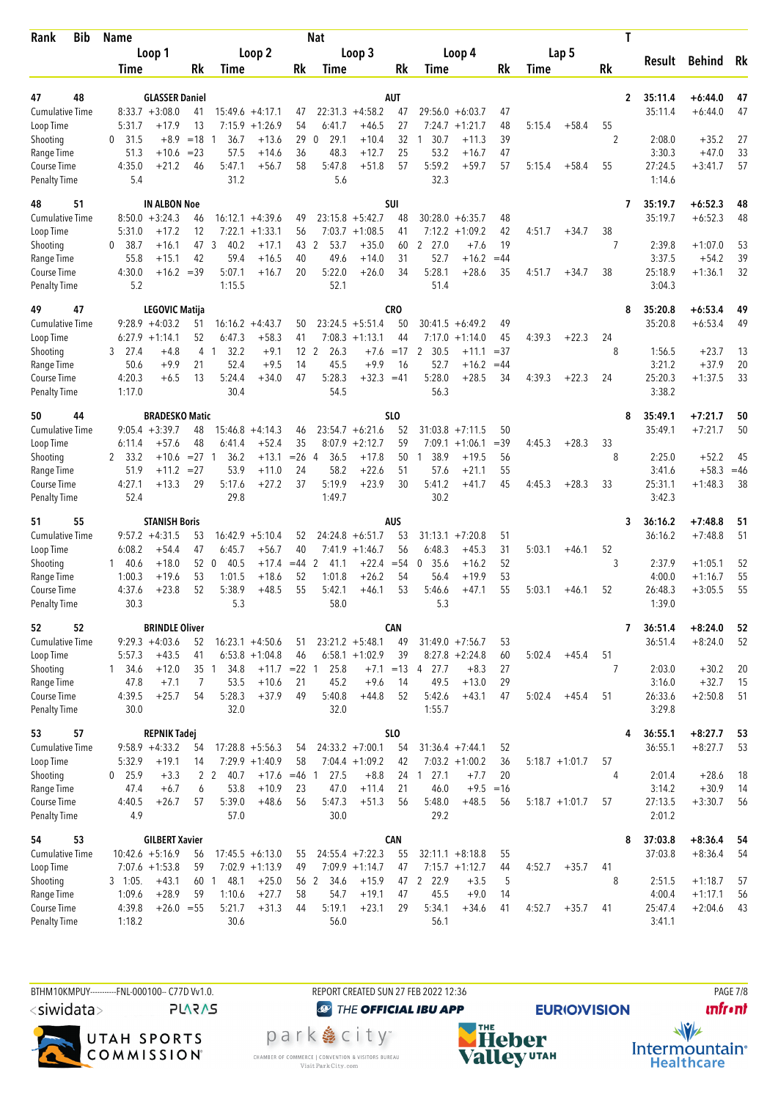| <b>Bib</b><br>Rank                 | <b>Name</b>          |                                            |                 |                                  |                             |                 | <b>Nat</b>          |                             |            |                             |                            |             |                   |                   |         | Τ                                  |                        |          |
|------------------------------------|----------------------|--------------------------------------------|-----------------|----------------------------------|-----------------------------|-----------------|---------------------|-----------------------------|------------|-----------------------------|----------------------------|-------------|-------------------|-------------------|---------|------------------------------------|------------------------|----------|
|                                    |                      | Loop 1                                     |                 |                                  | Loop 2                      |                 |                     | Loop 3                      |            |                             | Loop 4                     |             |                   | Lap 5             |         |                                    | Behind                 |          |
|                                    | Time                 |                                            | Rk              | Time                             |                             | Rk              | Time                |                             | Rk         | Time                        |                            | Rk          | Time              |                   | Rk      | Result                             |                        | Rk       |
|                                    |                      |                                            |                 |                                  |                             |                 |                     |                             |            |                             |                            |             |                   |                   |         |                                    |                        |          |
| 48<br>47<br><b>Cumulative Time</b> |                      | <b>GLASSER Daniel</b><br>$8:33.7 + 3:08.0$ | 41              |                                  | $15:49.6 + 4:17.1$          | 47              |                     | $22:31.3 +4:58.2$           | AUT<br>47  |                             | $29:56.0 + 6:03.7$         | 47          |                   |                   |         | 35:11.4<br>$\mathbf{2}$<br>35:11.4 | $+6:44.0$<br>$+6:44.0$ | 47<br>47 |
| Loop Time                          | 5:31.7               | $+17.9$                                    | 13              | 7:15.9                           | $+1:26.9$                   | 54              | 6:41.7              | $+46.5$                     | 27         | 7:24.7                      | $+1:21.7$                  | 48          | 5:15.4            | $+58.4$           | 55      |                                    |                        |          |
| Shooting                           | 31.5<br>0            | $+8.9$                                     | $=18$           | 36.7                             | $+13.6$                     | 29              | 29.1<br>0           | $+10.4$                     | 32         | 30.7                        | $+11.3$                    | 39          |                   |                   | 2       | 2:08.0                             | $+35.2$                | 27       |
| Range Time                         | 51.3                 | $+10.6$                                    | $= 23$          | 57.5                             | $+14.6$                     | 36              | 48.3                | $+12.7$                     | 25         | 53.2                        | $+16.7$                    | 47          |                   |                   |         | 3:30.3                             | $+47.0$                | 33       |
| Course Time                        | 4:35.0               | $+21.2$                                    | 46              | 5:47.1                           | $+56.7$                     | 58              | 5:47.8              | $+51.8$                     | 57         | 5:59.2                      | $+59.7$                    | 57          | 5:15.4            | $+58.4$           | 55      | 27:24.5                            | $+3:41.7$              | 57       |
| <b>Penalty Time</b>                | 5.4                  |                                            |                 | 31.2                             |                             |                 | 5.6                 |                             |            | 32.3                        |                            |             |                   |                   |         | 1:14.6                             |                        |          |
| 51<br>48                           |                      | <b>IN ALBON Noe</b>                        |                 |                                  |                             |                 |                     |                             | <b>SUI</b> |                             |                            |             |                   |                   |         | 35:19.7<br>7                       | $+6:52.3$              | 48       |
| <b>Cumulative Time</b>             |                      | $8:50.0 + 3:24.3$                          | 46              |                                  | $16:12.1 + 4:39.6$          | 49              |                     | $23:15.8 + 5:42.7$          | 48         |                             | $30:28.0 + 6:35.7$         | 48          |                   |                   |         | 35:19.7                            | $+6:52.3$              | 48       |
| Loop Time                          | 5:31.0               | $+17.2$                                    | 12              | 7:22.1                           | $+1:33.1$                   | 56              |                     | $7:03.7 +1:08.5$            | 41         |                             | $7:12.2 + 1:09.2$          | 42          | 4:51.7            | $+34.7$           | 38      |                                    |                        |          |
| Shooting                           | 38.7<br>$\mathbf{0}$ | $+16.1$                                    | 47<br>42        | 3<br>40.2                        | $+17.1$                     | 43<br>40        | 2<br>53.7           | $+35.0$                     | 60         | $2^{\circ}$<br>27.0<br>52.7 | $+7.6$                     | 19<br>$=44$ |                   |                   | 7       | 2:39.8                             | $+1:07.0$              | 53<br>39 |
| Range Time<br>Course Time          | 55.8<br>4:30.0       | $+15.1$<br>$+16.2 = 39$                    |                 | 59.4<br>5:07.1                   | $+16.5$<br>$+16.7$          | 20              | 49.6<br>5:22.0      | $+14.0$<br>$+26.0$          | 31<br>34   | 5:28.1                      | $+16.2$<br>$+28.6$         | 35          | 4:51.7            | $+34.7$           | 38      | 3:37.5<br>25:18.9                  | $+54.2$<br>$+1:36.1$   | 32       |
| <b>Penalty Time</b>                | 5.2                  |                                            |                 | 1:15.5                           |                             |                 | 52.1                |                             |            | 51.4                        |                            |             |                   |                   |         | 3:04.3                             |                        |          |
| 47<br>49                           |                      | <b>LEGOVIC Matija</b>                      |                 |                                  |                             |                 |                     |                             | <b>CRO</b> |                             |                            |             |                   |                   |         | 35:20.8<br>8                       | $+6:53.4$              | 49       |
| <b>Cumulative Time</b>             |                      | $9:28.9 + 4:03.2$                          | 51              | 16:16.2                          | $+4:43.7$                   | 50              |                     | $23:24.5 + 5:51.4$          | 50         | 30:41.5                     | $+6:49.2$                  | 49          |                   |                   |         | 35:20.8                            | $+6:53.4$              | 49       |
| Loop Time                          |                      | $6:27.9 +1:14.1$                           | 52              | 6:47.3                           | $+58.3$                     | 41              | 7:08.3              | $+1:13.1$                   | 44         | 7:17.0                      | $+1:14.0$                  | 45          | 4:39.3            | $+22.3$           | 24      |                                    |                        |          |
| Shooting                           | $3$ 27.4             | $+4.8$                                     | $\overline{4}$  | 32.2<br>$\overline{1}$           | $+9.1$                      | 12 <sub>2</sub> | 26.3                | $+7.6$                      | $=17$      | 30.5<br>2                   | $+11.1$                    | $= 37$      |                   |                   | 8       | 1:56.5                             | $+23.7$                | 13       |
| Range Time                         | 50.6                 | $+9.9$                                     | 21              | 52.4                             | $+9.5$                      | 14              | 45.5                | $+9.9$                      | 16         | 52.7                        | $+16.2$                    | $=44$       |                   |                   |         | 3:21.2                             | $+37.9$                | 20       |
| Course Time<br><b>Penalty Time</b> | 4:20.3<br>1:17.0     | $+6.5$                                     | 13              | 5:24.4<br>30.4                   | $+34.0$                     | 47              | 5:28.3<br>54.5      | $+32.3 = 41$                |            | 5:28.0<br>56.3              | $+28.5$                    | 34          | 4:39.3            | $+22.3$           | 24      | 25:20.3<br>3:38.2                  | $+1:37.5$              | 33       |
|                                    |                      |                                            |                 |                                  |                             |                 |                     |                             |            |                             |                            |             |                   |                   |         |                                    |                        |          |
| 44<br>50<br><b>Cumulative Time</b> |                      | <b>BRADESKO Matic</b><br>$9:05.4 +3:39.7$  | 48              | 15:46.8                          | $+4:14.3$                   | 46              |                     | $23:54.7 + 6:21.6$          | SLO<br>52  |                             | $31:03.8$ +7:11.5          | 50          |                   |                   |         | 35:49.1<br>8<br>35:49.1            | $+7:21.7$<br>$+7:21.7$ | 50<br>50 |
| Loop Time                          | 6:11.4               | $+57.6$                                    | 48              | 6:41.4                           | $+52.4$                     | 35              | 8:07.9              | $+2:12.7$                   | 59         |                             | $7:09.1 + 1:06.1$          | $= 39$      | 4:45.3            | $+28.3$           | 33      |                                    |                        |          |
| Shooting                           | 2 33.2               | $+10.6$                                    | $= 27$ 1        | 36.2                             | $+13.1$                     | $=26$           | 36.5<br>4           | $+17.8$                     | 50         | 38.9<br>$\mathbf{1}$        | $+19.5$                    | 56          |                   |                   | 8       | 2:25.0                             | $+52.2$                | 45       |
| Range Time                         | 51.9                 | $+11.2$                                    | $=27$           | 53.9                             | $+11.0$                     | 24              | 58.2                | $+22.6$                     | 51         | 57.6                        | $+21.1$                    | 55          |                   |                   |         | 3:41.6                             | $+58.3$                | $=46$    |
| Course Time                        | 4:27.1               | $+13.3$                                    | 29              | 5:17.6                           | $+27.2$                     | 37              | 5:19.9              | $+23.9$                     | 30         | 5:41.2                      | $+41.7$                    | 45          | 4:45.3            | $+28.3$           | 33      | 25:31.1                            | $+1:48.3$              | 38       |
| <b>Penalty Time</b>                | 52.4                 |                                            |                 | 29.8                             |                             |                 | 1:49.7              |                             |            | 30.2                        |                            |             |                   |                   |         | 3:42.3                             |                        |          |
| 55<br>51                           |                      | <b>STANISH Boris</b>                       |                 |                                  |                             |                 |                     |                             | <b>AUS</b> |                             |                            |             |                   |                   |         | 36:16.2<br>3                       | $+7:48.8$              | 51       |
| <b>Cumulative Time</b>             |                      | $9:57.2 +4:31.5$                           | 53              |                                  | $16:42.9 + 5:10.4$          | 52              |                     | $24:24.8 + 6:51.7$          | 53         | 31:13.1                     | $+7:20.8$                  | 51          |                   |                   |         | 36:16.2                            | $+7:48.8$              | 51       |
| Loop Time                          | 6:08.2               | $+54.4$                                    | 47              | 6:45.7                           | $+56.7$                     | 40              |                     | $7:41.9 +1:46.7$            | 56         | 6:48.3                      | $+45.3$                    | 31          | 5:03.1            | $+46.1$           | 52      |                                    |                        |          |
| Shooting<br>Range Time             | 140.6<br>1:00.3      | $+18.0$<br>$+19.6$                         | 52<br>53        | $\overline{0}$<br>40.5<br>1:01.5 | $+17.4$<br>$+18.6$          | $=44$<br>52     | 2<br>41.1<br>1:01.8 | $+22.4 = 54$<br>$+26.2$     | 54         | 35.6<br>0<br>56.4           | $+16.2$<br>$+19.9$         | 52<br>53    |                   |                   | 3       | 2:37.9<br>4:00.0                   | $+1:05.1$<br>$+1:16.7$ | 52<br>55 |
| Course Time                        | 4:37.6               | $+23.8$                                    | 52              | 5:38.9                           | $+48.5$                     | 55              | 5:42.1              | $+46.1$                     | 53         | 5:46.6                      | $+47.1$                    | 55          | 5:03.1            | $+46.1$           | 52      | 26:48.3                            | $+3:05.5$              | 55       |
| <b>Penalty Time</b>                | 30.3                 |                                            |                 | 5.3                              |                             |                 | 58.0                |                             |            | 5.3                         |                            |             |                   |                   |         | 1:39.0                             |                        |          |
| 52<br>52                           |                      | <b>BRINDLE Oliver</b>                      |                 |                                  |                             |                 |                     |                             | <b>CAN</b> |                             |                            |             |                   |                   |         | 36:51.4<br>7                       | $+8:24.0$              | 52       |
| Cumulative Time                    |                      | $9:29.3 +4:03.6$                           | 52              |                                  | $16:23.1 + 4:50.6$          | 51              |                     | $23:21.2 +5:48.1$           | 49         |                             | $31:49.0 + 7:56.7$         | 53          |                   |                   |         | 36:51.4                            | $+8:24.0$              | 52       |
| Loop Time                          | 5:57.3               | $+43.5$                                    | 41              |                                  | $6:53.8 +1:04.8$            | 46              |                     | $6:58.1 + 1:02.9$           | 39         |                             | $8:27.8 + 2:24.8$          | 60          | 5:02.4            | $+45.4$           | 51      |                                    |                        |          |
| Shooting                           | $1 \quad 34.6$       | $+12.0$                                    | 35 <sub>1</sub> | 34.8                             | $+11.7$ = 22 1              |                 | 25.8                |                             |            | $+7.1$ = 13 4 27.7          | $+8.3$                     | 27          |                   |                   | 7       | 2:03.0                             | $+30.2$                | 20       |
| Range Time                         | 47.8                 | $+7.1$                                     | $\overline{7}$  | 53.5                             | $+10.6$                     | 21              | 45.2                | $+9.6$                      | 14         | 49.5                        | $+13.0$                    | 29          |                   |                   |         | 3:16.0                             | $+32.7$                | 15       |
| Course Time<br><b>Penalty Time</b> | 4:39.5<br>30.0       | $+25.7$                                    | 54              | 5:28.3<br>32.0                   | $+37.9$                     | 49              | 5:40.8<br>32.0      | $+44.8$                     | 52         | 5:42.6<br>1:55.7            | $+43.1$                    | 47          | 5:02.4            | $+45.4$           | 51      | 26:33.6<br>3:29.8                  | $+2:50.8$              | 51       |
| 57                                 |                      |                                            |                 |                                  |                             |                 |                     |                             | <b>SLO</b> |                             |                            |             |                   |                   |         |                                    |                        |          |
| 53<br><b>Cumulative Time</b>       |                      | <b>REPNIK Tadej</b><br>$9:58.9 + 4:33.2$   | 54              |                                  | $17:28.8 + 5:56.3$          | 54              |                     | $24:33.2 +7:00.1$           | 54         |                             | $31:36.4 +7:44.1$          | 52          |                   |                   |         | 36:55.1<br>4<br>36:55.1            | $+8:27.7$<br>$+8:27.7$ | 53<br>53 |
| Loop Time                          | 5:32.9               | $+19.1$                                    | 14              |                                  | $7:29.9 +1:40.9$            | 58              |                     | $7:04.4 +1:09.2$            | 42         |                             | $7:03.2 +1:00.2$           | 36          |                   | $5:18.7 + 1:01.7$ | 57      |                                    |                        |          |
| Shooting                           | $0$ 25.9             | $+3.3$                                     |                 | 2 <sub>2</sub><br>40.7           | $+17.6 = 46$ 1              |                 | 27.5                | $+8.8$                      |            | 24 1 27.1                   | $+7.7$                     | 20          |                   |                   | 4       | 2:01.4                             | $+28.6$                | 18       |
| Range Time                         | 47.4                 | $+6.7$                                     | 6               | 53.8                             | $+10.9$                     | 23              | 47.0                | $+11.4$                     | 21         | 46.0                        | $+9.5 = 16$                |             |                   |                   |         | 3:14.2                             | $+30.9$                | 14       |
| Course Time                        | 4:40.5               | $+26.7$                                    | 57              | 5:39.0                           | $+48.6$                     | 56              | 5:47.3              | $+51.3$                     | 56         | 5:48.0                      | $+48.5$                    | 56          | $5:18.7 + 1:01.7$ |                   | 57      | 27:13.5                            | $+3:30.7$              | 56       |
| <b>Penalty Time</b>                | 4.9                  |                                            |                 | 57.0                             |                             |                 | 30.0                |                             |            | 29.2                        |                            |             |                   |                   |         | 2:01.2                             |                        |          |
| 53<br>54                           |                      | <b>GILBERT Xavier</b>                      |                 |                                  |                             |                 |                     |                             | <b>CAN</b> |                             |                            |             |                   |                   |         | 37:03.8<br>8                       | $+8:36.4$              | - 54     |
| <b>Cumulative Time</b>             |                      | $10:42.6 + 5:16.9$                         | 56              |                                  | $17:45.5 + 6:13.0$          | 55              |                     | $24:55.4$ +7:22.3           | 55         |                             | $32:11.1 + 8:18.8$         | 55          |                   |                   |         | 37:03.8                            | $+8:36.4$              | 54       |
| Loop Time<br>Shooting              | $3 \quad 1:05.$      | $7:07.6 + 1:53.8$<br>$+43.1$               | 59<br>60        | 48.1<br>1                        | $7:02.9 +1:13.9$<br>$+25.0$ | 49              | 56 2<br>34.6        | $7:09.9 +1:14.7$<br>$+15.9$ | 47         | 47 2 22.9                   | $7:15.7 +1:12.7$<br>$+3.5$ | 44<br>5     | 4:52.7            | $+35.7$           | 41<br>8 | 2:51.5                             | $+1:18.7$              | 57       |
| Range Time                         | 1:09.6               | $+28.9$                                    | 59              | 1:10.6                           | $+27.7$                     | 58              | 54.7                | $+19.1$                     | 47         | 45.5                        | $+9.0$                     | 14          |                   |                   |         | 4:00.4                             | $+1:17.1$              | 56       |
| Course Time                        | 4:39.8               | $+26.0 = 55$                               |                 | 5:21.7                           | $+31.3$                     | 44              | 5:19.1              | $+23.1$                     | 29         | 5:34.1                      | $+34.6$                    | 41          | 4:52.7            | $+35.7$           | 41      | 25:47.4                            | $+2:04.6$              | 43       |
| <b>Penalty Time</b>                | 1:18.2               |                                            |                 | 30.6                             |                             |                 | 56.0                |                             |            | 56.1                        |                            |             |                   |                   |         | 3:41.1                             |                        |          |
|                                    |                      |                                            |                 |                                  |                             |                 |                     |                             |            |                             |                            |             |                   |                   |         |                                    |                        |          |

BTHM10KMPUY----------FNL-000100-- C77D W1.0. REPORT CREATED SUN 27 FEB 2022 12:36 PAGE 7/8 <siwidata>

**PLARAS** 



CHAMBER OF COMMERCE | CONVENTION & VISITORS BUREAU<br>Visit Park City.com

**@** THE OFFICIAL IBU APP park e city<sup>®</sup>



**EURIO)VISION** 

**unfront** 

 $\frac{1}{\sqrt{2}}$ Intermountain<sup>®</sup><br>Healthcare